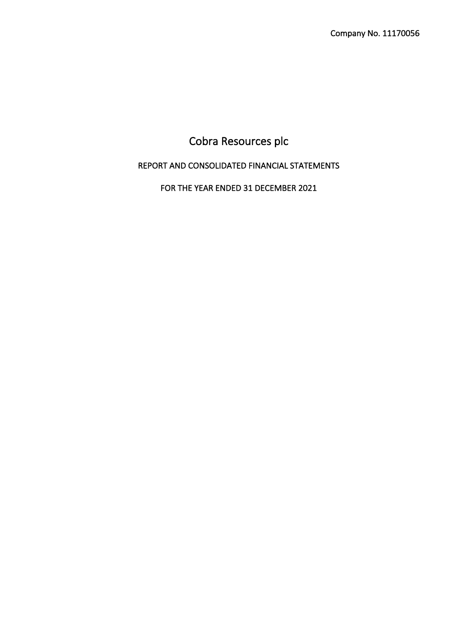# REPORT AND CONSOLIDATED FINANCIAL STATEMENTS

FOR THE YEAR ENDED 31 DECEMBER 2021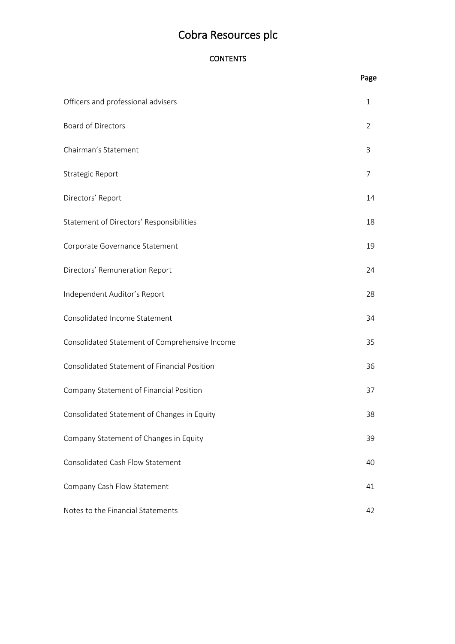## **CONTENTS**

|                                                | Page           |
|------------------------------------------------|----------------|
| Officers and professional advisers             | $\mathbf 1$    |
| <b>Board of Directors</b>                      | $\overline{2}$ |
| Chairman's Statement                           | 3              |
| Strategic Report                               | 7              |
| Directors' Report                              | 14             |
| Statement of Directors' Responsibilities       | 18             |
| Corporate Governance Statement                 | 19             |
| Directors' Remuneration Report                 | 24             |
| Independent Auditor's Report                   | 28             |
| Consolidated Income Statement                  | 34             |
| Consolidated Statement of Comprehensive Income | 35             |
| Consolidated Statement of Financial Position   | 36             |
| Company Statement of Financial Position        | 37             |
| Consolidated Statement of Changes in Equity    | 38             |
| Company Statement of Changes in Equity         | 39             |
| Consolidated Cash Flow Statement               | 40             |
| Company Cash Flow Statement                    | 41             |
| Notes to the Financial Statements              | 42             |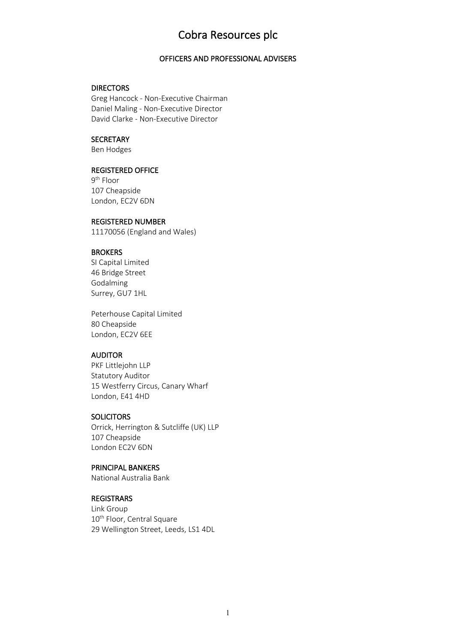#### OFFICERS AND PROFESSIONAL ADVISERS

#### DIRECTORS

Greg Hancock - Non-Executive Chairman Daniel Maling - Non-Executive Director David Clarke - Non-Executive Director

#### **SECRETARY**

Ben Hodges

#### REGISTERED OFFICE

9th Floor 107 Cheapside London, EC2V 6DN

#### REGISTERED NUMBER

11170056 (England and Wales)

#### **BROKERS**

SI Capital Limited 46 Bridge Street Godalming Surrey, GU7 1HL

Peterhouse Capital Limited 80 Cheapside London, EC2V 6EE

#### AUDITOR

PKF Littlejohn LLP Statutory Auditor 15 Westferry Circus, Canary Wharf London, E41 4HD

#### **SOLICITORS**

Orrick, Herrington & Sutcliffe (UK) LLP 107 Cheapside London EC2V 6DN

#### PRINCIPAL BANKERS

National Australia Bank

### **REGISTRARS**

Link Group 10<sup>th</sup> Floor, Central Square 29 Wellington Street, Leeds, LS1 4DL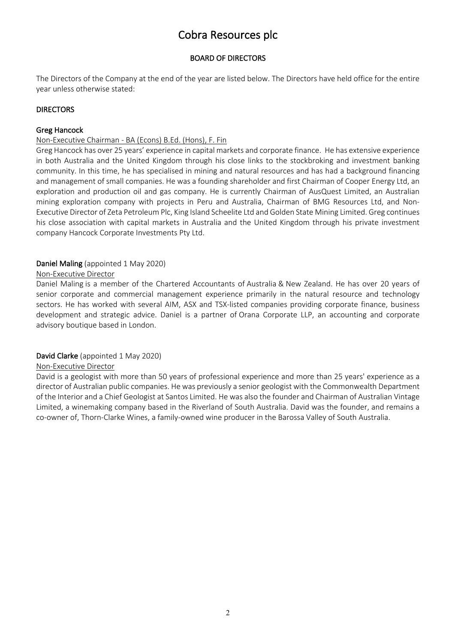### BOARD OF DIRECTORS

The Directors of the Company at the end of the year are listed below. The Directors have held office for the entire year unless otherwise stated:

### **DIRECTORS**

### Greg Hancock

#### Non-Executive Chairman - BA (Econs) B.Ed. (Hons), F. Fin

Greg Hancock has over 25 years' experience in capital markets and corporate finance. He has extensive experience in both Australia and the United Kingdom through his close links to the stockbroking and investment banking community. In this time, he has specialised in mining and natural resources and has had a background financing and management of small companies. He was a founding shareholder and first Chairman of Cooper Energy Ltd, an exploration and production oil and gas company. He is currently Chairman of AusQuest Limited, an Australian mining exploration company with projects in Peru and Australia, Chairman of BMG Resources Ltd, and Non-Executive Director of Zeta Petroleum Plc, King Island Scheelite Ltd and Golden State Mining Limited. Greg continues his close association with capital markets in Australia and the United Kingdom through his private investment company Hancock Corporate Investments Pty Ltd.

### Daniel Maling (appointed 1 May 2020)

#### Non-Executive Director

Daniel Maling is a member of the Chartered Accountants of Australia & New Zealand. He has over 20 years of senior corporate and commercial management experience primarily in the natural resource and technology sectors. He has worked with several AIM, ASX and TSX-listed companies providing corporate finance, business development and strategic advice. Daniel is a partner of Orana Corporate LLP, an accounting and corporate advisory boutique based in London.

### David Clarke (appointed 1 May 2020)

### Non-Executive Director

David is a geologist with more than 50 years of professional experience and more than 25 years' experience as a director of Australian public companies. He was previously a senior geologist with the Commonwealth Department of the Interior and a Chief Geologist at Santos Limited. He was also the founder and Chairman of Australian Vintage Limited, a winemaking company based in the Riverland of South Australia. David was the founder, and remains a co-owner of, Thorn-Clarke Wines, a family-owned wine producer in the Barossa Valley of South Australia.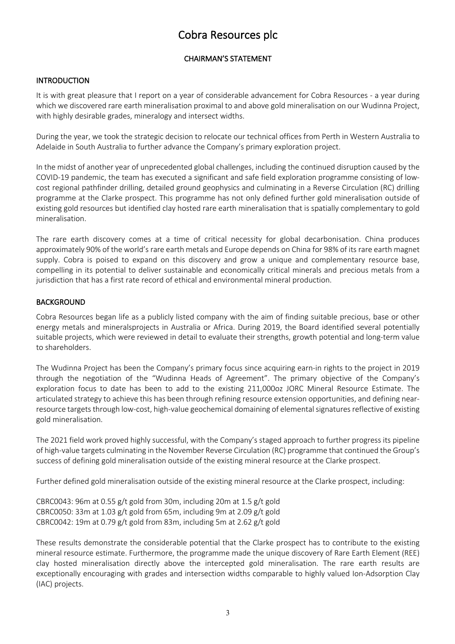### CHAIRMAN'S STATEMENT

#### INTRODUCTION

It is with great pleasure that I report on a year of considerable advancement for Cobra Resources - a year during which we discovered rare earth mineralisation proximal to and above gold mineralisation on our Wudinna Project, with highly desirable grades, mineralogy and intersect widths.

During the year, we took the strategic decision to relocate our technical offices from Perth in Western Australia to Adelaide in South Australia to further advance the Company's primary exploration project.

In the midst of another year of unprecedented global challenges, including the continued disruption caused by the COVID-19 pandemic, the team has executed a significant and safe field exploration programme consisting of lowcost regional pathfinder drilling, detailed ground geophysics and culminating in a Reverse Circulation (RC) drilling programme at the Clarke prospect. This programme has not only defined further gold mineralisation outside of existing gold resources but identified clay hosted rare earth mineralisation that is spatially complementary to gold mineralisation.

The rare earth discovery comes at a time of critical necessity for global decarbonisation. China produces approximately 90% of the world's rare earth metals and Europe depends on China for 98% of its rare earth magnet supply. Cobra is poised to expand on this discovery and grow a unique and complementary resource base, compelling in its potential to deliver sustainable and economically critical minerals and precious metals from a jurisdiction that has a first rate record of ethical and environmental mineral production.

#### BACKGROUND

Cobra Resources began life as a publicly listed company with the aim of finding suitable precious, base or other energy metals and mineralsprojects in Australia or Africa. During 2019, the Board identified several potentially suitable projects, which were reviewed in detail to evaluate their strengths, growth potential and long-term value to shareholders.

The Wudinna Project has been the Company's primary focus since acquiring earn-in rights to the project in 2019 through the negotiation of the "Wudinna Heads of Agreement". The primary objective of the Company's exploration focus to date has been to add to the existing 211,000oz JORC Mineral Resource Estimate. The articulated strategy to achieve this has been through refining resource extension opportunities, and defining nearresource targets through low-cost, high-value geochemical domaining of elemental signatures reflective of existing gold mineralisation.

The 2021 field work proved highly successful, with the Company's staged approach to further progress its pipeline of high-value targets culminating in the November Reverse Circulation (RC) programme that continued the Group's success of defining gold mineralisation outside of the existing mineral resource at the Clarke prospect.

Further defined gold mineralisation outside of the existing mineral resource at the Clarke prospect, including:

CBRC0043: 96m at 0.55 g/t gold from 30m, including 20m at 1.5 g/t gold CBRC0050: 33m at 1.03 g/t gold from 65m, including 9m at 2.09 g/t gold CBRC0042: 19m at 0.79 g/t gold from 83m, including 5m at 2.62 g/t gold

These results demonstrate the considerable potential that the Clarke prospect has to contribute to the existing mineral resource estimate. Furthermore, the programme made the unique discovery of Rare Earth Element (REE) clay hosted mineralisation directly above the intercepted gold mineralisation. The rare earth results are exceptionally encouraging with grades and intersection widths comparable to highly valued Ion-Adsorption Clay (IAC) projects.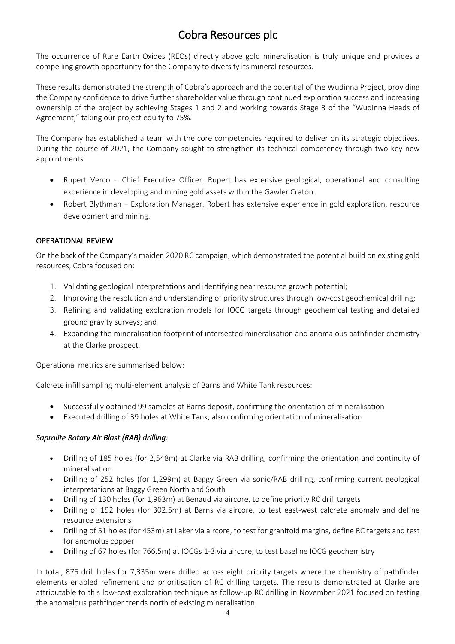The occurrence of Rare Earth Oxides (REOs) directly above gold mineralisation is truly unique and provides a compelling growth opportunity for the Company to diversify its mineral resources.

These results demonstrated the strength of Cobra's approach and the potential of the Wudinna Project, providing the Company confidence to drive further shareholder value through continued exploration success and increasing ownership of the project by achieving Stages 1 and 2 and working towards Stage 3 of the "Wudinna Heads of Agreement," taking our project equity to 75%.

The Company has established a team with the core competencies required to deliver on its strategic objectives. During the course of 2021, the Company sought to strengthen its technical competency through two key new appointments:

- Rupert Verco Chief Executive Officer. Rupert has extensive geological, operational and consulting experience in developing and mining gold assets within the Gawler Craton.
- Robert Blythman Exploration Manager. Robert has extensive experience in gold exploration, resource development and mining.

## OPERATIONAL REVIEW

On the back of the Company's maiden 2020 RC campaign, which demonstrated the potential build on existing gold resources, Cobra focused on:

- 1. Validating geological interpretations and identifying near resource growth potential;
- 2. Improving the resolution and understanding of priority structures through low-cost geochemical drilling;
- 3. Refining and validating exploration models for IOCG targets through geochemical testing and detailed ground gravity surveys; and
- 4. Expanding the mineralisation footprint of intersected mineralisation and anomalous pathfinder chemistry at the Clarke prospect.

Operational metrics are summarised below:

Calcrete infill sampling multi-element analysis of Barns and White Tank resources:

- Successfully obtained 99 samples at Barns deposit, confirming the orientation of mineralisation
- Executed drilling of 39 holes at White Tank, also confirming orientation of mineralisation

## *Saprolite Rotary Air Blast (RAB) drilling:*

- Drilling of 185 holes (for 2,548m) at Clarke via RAB drilling, confirming the orientation and continuity of mineralisation
- Drilling of 252 holes (for 1,299m) at Baggy Green via sonic/RAB drilling, confirming current geological interpretations at Baggy Green North and South
- Drilling of 130 holes (for 1,963m) at Benaud via aircore, to define priority RC drill targets
- Drilling of 192 holes (for 302.5m) at Barns via aircore, to test east-west calcrete anomaly and define resource extensions
- Drilling of 51 holes (for 453m) at Laker via aircore, to test for granitoid margins, define RC targets and test for anomolus copper
- Drilling of 67 holes (for 766.5m) at IOCGs 1-3 via aircore, to test baseline IOCG geochemistry

In total, 875 drill holes for 7,335m were drilled across eight priority targets where the chemistry of pathfinder elements enabled refinement and prioritisation of RC drilling targets. The results demonstrated at Clarke are attributable to this low-cost exploration technique as follow-up RC drilling in November 2021 focused on testing the anomalous pathfinder trends north of existing mineralisation.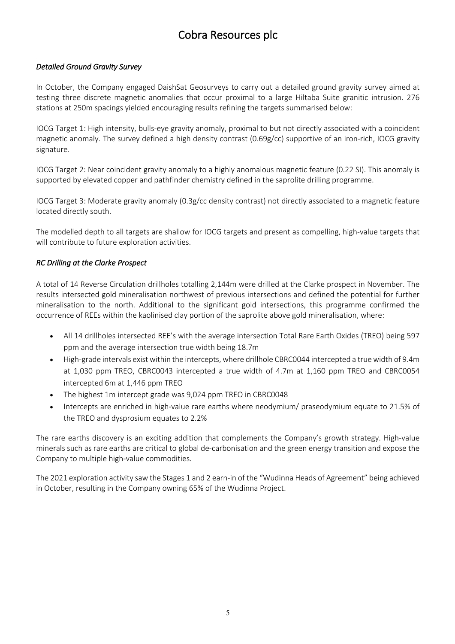### *Detailed Ground Gravity Survey*

In October, the Company engaged DaishSat Geosurveys to carry out a detailed ground gravity survey aimed at testing three discrete magnetic anomalies that occur proximal to a large Hiltaba Suite granitic intrusion. 276 stations at 250m spacings yielded encouraging results refining the targets summarised below:

IOCG Target 1: High intensity, bulls-eye gravity anomaly, proximal to but not directly associated with a coincident magnetic anomaly. The survey defined a high density contrast (0.69g/cc) supportive of an iron-rich, IOCG gravity signature.

IOCG Target 2: Near coincident gravity anomaly to a highly anomalous magnetic feature (0.22 SI). This anomaly is supported by elevated copper and pathfinder chemistry defined in the saprolite drilling programme.

IOCG Target 3: Moderate gravity anomaly (0.3g/cc density contrast) not directly associated to a magnetic feature located directly south.

The modelled depth to all targets are shallow for IOCG targets and present as compelling, high-value targets that will contribute to future exploration activities.

#### *RC Drilling at the Clarke Prospect*

A total of 14 Reverse Circulation drillholes totalling 2,144m were drilled at the Clarke prospect in November. The results intersected gold mineralisation northwest of previous intersections and defined the potential for further mineralisation to the north. Additional to the significant gold intersections, this programme confirmed the occurrence of REEs within the kaolinised clay portion of the saprolite above gold mineralisation, where:

- All 14 drillholes intersected REE's with the average intersection Total Rare Earth Oxides (TREO) being 597 ppm and the average intersection true width being 18.7m
- High-grade intervals exist within the intercepts, where drillhole CBRC0044 intercepted a true width of 9.4m at 1,030 ppm TREO, CBRC0043 intercepted a true width of 4.7m at 1,160 ppm TREO and CBRC0054 intercepted 6m at 1,446 ppm TREO
- The highest 1m intercept grade was 9,024 ppm TREO in CBRC0048
- Intercepts are enriched in high-value rare earths where neodymium/ praseodymium equate to 21.5% of the TREO and dysprosium equates to 2.2%

The rare earths discovery is an exciting addition that complements the Company's growth strategy. High-value minerals such as rare earths are critical to global de-carbonisation and the green energy transition and expose the Company to multiple high-value commodities.

The 2021 exploration activity saw the Stages 1 and 2 earn-in of the "Wudinna Heads of Agreement" being achieved in October, resulting in the Company owning 65% of the Wudinna Project.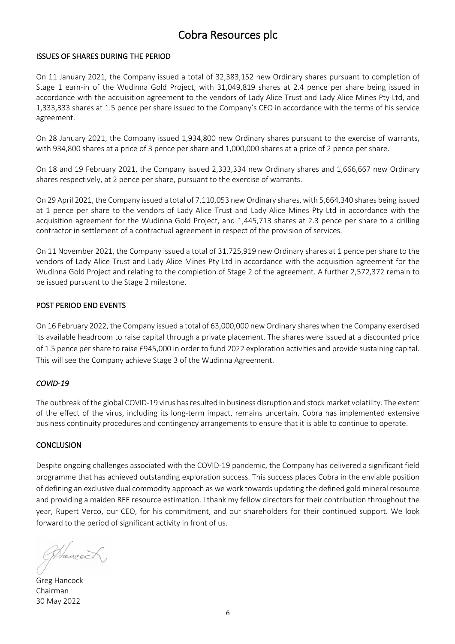#### ISSUES OF SHARES DURING THE PERIOD

On 11 January 2021, the Company issued a total of 32,383,152 new Ordinary shares pursuant to completion of Stage 1 earn-in of the Wudinna Gold Project, with 31,049,819 shares at 2.4 pence per share being issued in accordance with the acquisition agreement to the vendors of Lady Alice Trust and Lady Alice Mines Pty Ltd, and 1,333,333 shares at 1.5 pence per share issued to the Company's CEO in accordance with the terms of his service agreement.

On 28 January 2021, the Company issued 1,934,800 new Ordinary shares pursuant to the exercise of warrants, with 934,800 shares at a price of 3 pence per share and 1,000,000 shares at a price of 2 pence per share.

On 18 and 19 February 2021, the Company issued 2,333,334 new Ordinary shares and 1,666,667 new Ordinary shares respectively, at 2 pence per share, pursuant to the exercise of warrants.

On 29 April 2021, the Company issued a total of 7,110,053 new Ordinary shares, with 5,664,340 shares being issued at 1 pence per share to the vendors of Lady Alice Trust and Lady Alice Mines Pty Ltd in accordance with the acquisition agreement for the Wudinna Gold Project, and 1,445,713 shares at 2.3 pence per share to a drilling contractor in settlement of a contractual agreement in respect of the provision of services.

On 11 November 2021, the Company issued a total of 31,725,919 new Ordinary shares at 1 pence per share to the vendors of Lady Alice Trust and Lady Alice Mines Pty Ltd in accordance with the acquisition agreement for the Wudinna Gold Project and relating to the completion of Stage 2 of the agreement. A further 2,572,372 remain to be issued pursuant to the Stage 2 milestone.

#### POST PERIOD END EVENTS

On 16 February 2022, the Company issued a total of 63,000,000 new Ordinary shares when the Company exercised its available headroom to raise capital through a private placement. The shares were issued at a discounted price of 1.5 pence per share to raise £945,000 in order to fund 2022 exploration activities and provide sustaining capital. This will see the Company achieve Stage 3 of the Wudinna Agreement.

### *COVID-19*

The outbreak of the global COVID-19 virus has resulted in business disruption and stock market volatility. The extent of the effect of the virus, including its long-term impact, remains uncertain. Cobra has implemented extensive business continuity procedures and contingency arrangements to ensure that it is able to continue to operate.

#### **CONCLUSION**

Despite ongoing challenges associated with the COVID-19 pandemic, the Company has delivered a significant field programme that has achieved outstanding exploration success. This success places Cobra in the enviable position of defining an exclusive dual commodity approach as we work towards updating the defined gold mineral resource and providing a maiden REE resource estimation. I thank my fellow directors for their contribution throughout the year, Rupert Verco, our CEO, for his commitment, and our shareholders for their continued support. We look forward to the period of significant activity in front of us.

Hancocr

Greg Hancock Chairman 30 May 2022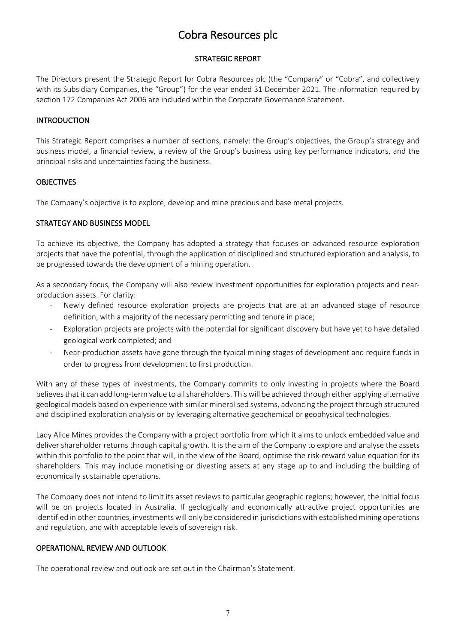### STRATEGIC REPORT

The Directors present the Strategic Report for Cobra Resources plc (the "Company" or "Cobra", and collectively with its Subsidiary Companies, the "Group") for the year ended 31 December 2021. The information required by section 172 Companies Act 2006 are included within the Corporate Governance Statement.

### INTRODUCTION

This Strategic Report comprises a number of sections, namely: the Group's objectives, the Group's strategy and business model, a financial review, a review of the Group's business using key performance indicators, and the principal risks and uncertainties facing the business.

### **OBJECTIVES**

The Company's objective is to explore, develop and mine precious and base metal projects.

### STRATEGY AND BUSINESS MODEL

To achieve its objective, the Company has adopted a strategy that focuses on advanced resource exploration projects that have the potential, through the application of disciplined and structured exploration and analysis, to be progressed towards the development of a mining operation.

As a secondary focus, the Company will also review investment opportunities for exploration projects and nearproduction assets. For clarity:

- Newly defined resource exploration projects are projects that are at an advanced stage of resource definition, with a majority of the necessary permitting and tenure in place;
- Exploration projects are projects with the potential for significant discovery but have yet to have detailed geological work completed; and
- Near-production assets have gone through the typical mining stages of development and require funds in order to progress from development to first production.

With any of these types of investments, the Company commits to only investing in projects where the Board believes that it can add long-term value to all shareholders. This will be achieved through either applying alternative geological models based on experience with similar mineralised systems, advancing the project through structured and disciplined exploration analysis or by leveraging alternative geochemical or geophysical technologies.

Lady Alice Mines provides the Company with a project portfolio from which it aims to unlock embedded value and deliver shareholder returns through capital growth. It is the aim of the Company to explore and analyse the assets within this portfolio to the point that will, in the view of the Board, optimise the risk-reward value equation for its shareholders. This may include monetising or divesting assets at any stage up to and including the building of economically sustainable operations.

The Company does not intend to limit its asset reviews to particular geographic regions; however, the initial focus will be on projects located in Australia. If geologically and economically attractive project opportunities are identified in other countries, investments will only be considered in jurisdictions with established mining operations and regulation, and with acceptable levels of sovereign risk.

### OPERATIONAL REVIEW AND OUTLOOK

The operational review and outlook are set out in the Chairman's Statement.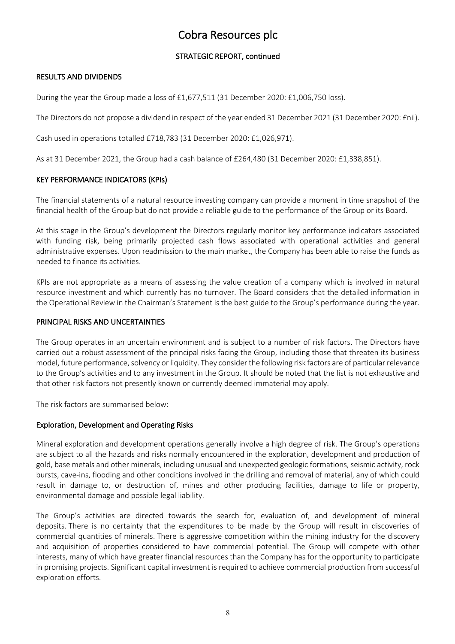### STRATEGIC REPORT, continued

### RESULTS AND DIVIDENDS

During the year the Group made a loss of £1,677,511 (31 December 2020: £1,006,750 loss).

The Directors do not propose a dividend in respect of the year ended 31 December 2021 (31 December 2020: £nil).

Cash used in operations totalled £718,783 (31 December 2020: £1,026,971).

As at 31 December 2021, the Group had a cash balance of £264,480 (31 December 2020: £1,338,851).

### KEY PERFORMANCE INDICATORS (KPIs)

The financial statements of a natural resource investing company can provide a moment in time snapshot of the financial health of the Group but do not provide a reliable guide to the performance of the Group or its Board.

At this stage in the Group's development the Directors regularly monitor key performance indicators associated with funding risk, being primarily projected cash flows associated with operational activities and general administrative expenses. Upon readmission to the main market, the Company has been able to raise the funds as needed to finance its activities.

KPIs are not appropriate as a means of assessing the value creation of a company which is involved in natural resource investment and which currently has no turnover. The Board considers that the detailed information in the Operational Review in the Chairman's Statement is the best guide to the Group's performance during the year.

#### PRINCIPAL RISKS AND UNCERTAINTIES

The Group operates in an uncertain environment and is subject to a number of risk factors. The Directors have carried out a robust assessment of the principal risks facing the Group, including those that threaten its business model, future performance, solvency or liquidity. They consider the following risk factors are of particular relevance to the Group's activities and to any investment in the Group. It should be noted that the list is not exhaustive and that other risk factors not presently known or currently deemed immaterial may apply.

The risk factors are summarised below:

#### Exploration, Development and Operating Risks

Mineral exploration and development operations generally involve a high degree of risk. The Group's operations are subject to all the hazards and risks normally encountered in the exploration, development and production of gold, base metals and other minerals, including unusual and unexpected geologic formations, seismic activity, rock bursts, cave-ins, flooding and other conditions involved in the drilling and removal of material, any of which could result in damage to, or destruction of, mines and other producing facilities, damage to life or property, environmental damage and possible legal liability.

The Group's activities are directed towards the search for, evaluation of, and development of mineral deposits. There is no certainty that the expenditures to be made by the Group will result in discoveries of commercial quantities of minerals. There is aggressive competition within the mining industry for the discovery and acquisition of properties considered to have commercial potential. The Group will compete with other interests, many of which have greater financial resources than the Company has for the opportunity to participate in promising projects. Significant capital investment is required to achieve commercial production from successful exploration efforts.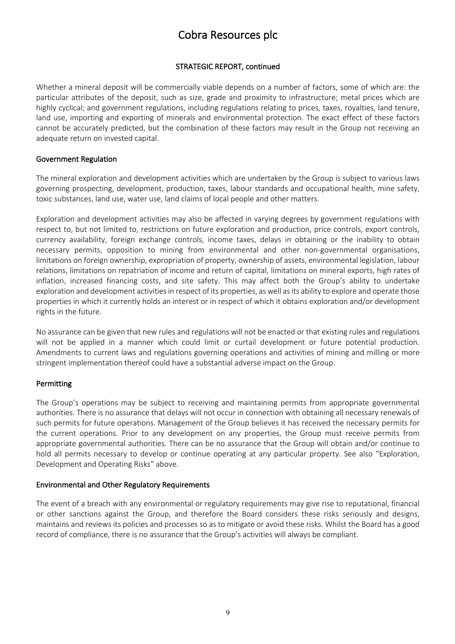### STRATEGIC REPORT, continued

Whether a mineral deposit will be commercially viable depends on a number of factors, some of which are: the particular attributes of the deposit, such as size, grade and proximity to infrastructure; metal prices which are highly cyclical; and government regulations, including regulations relating to prices, taxes, royalties, land tenure, land use, importing and exporting of minerals and environmental protection. The exact effect of these factors cannot be accurately predicted, but the combination of these factors may result in the Group not receiving an adequate return on invested capital.

#### Government Regulation

The mineral exploration and development activities which are undertaken by the Group is subject to various laws governing prospecting, development, production, taxes, labour standards and occupational health, mine safety, toxic substances, land use, water use, land claims of local people and other matters.

Exploration and development activities may also be affected in varying degrees by government regulations with respect to, but not limited to, restrictions on future exploration and production, price controls, export controls, currency availability, foreign exchange controls, income taxes, delays in obtaining or the inability to obtain necessary permits, opposition to mining from environmental and other non-governmental organisations, limitations on foreign ownership, expropriation of property, ownership of assets, environmental legislation, labour relations, limitations on repatriation of income and return of capital, limitations on mineral exports, high rates of inflation, increased financing costs, and site safety. This may affect both the Group's ability to undertake exploration and development activities in respect of its properties, as well as its ability to explore and operate those properties in which it currently holds an interest or in respect of which it obtains exploration and/or development rights in the future.

No assurance can be given that new rules and regulations will not be enacted or that existing rules and regulations will not be applied in a manner which could limit or curtail development or future potential production. Amendments to current laws and regulations governing operations and activities of mining and milling or more stringent implementation thereof could have a substantial adverse impact on the Group.

### Permitting

The Group's operations may be subject to receiving and maintaining permits from appropriate governmental authorities. There is no assurance that delays will not occur in connection with obtaining all necessary renewals of such permits for future operations. Management of the Group believes it has received the necessary permits for the current operations. Prior to any development on any properties, the Group must receive permits from appropriate governmental authorities. There can be no assurance that the Group will obtain and/or continue to hold all permits necessary to develop or continue operating at any particular property. See also "Exploration, Development and Operating Risks" above.

### Environmental and Other Regulatory Requirements

The event of a breach with any environmental or regulatory requirements may give rise to reputational, financial or other sanctions against the Group, and therefore the Board considers these risks seriously and designs, maintains and reviews its policies and processes so as to mitigate or avoid these risks. Whilst the Board has a good record of compliance, there is no assurance that the Group's activities will always be compliant.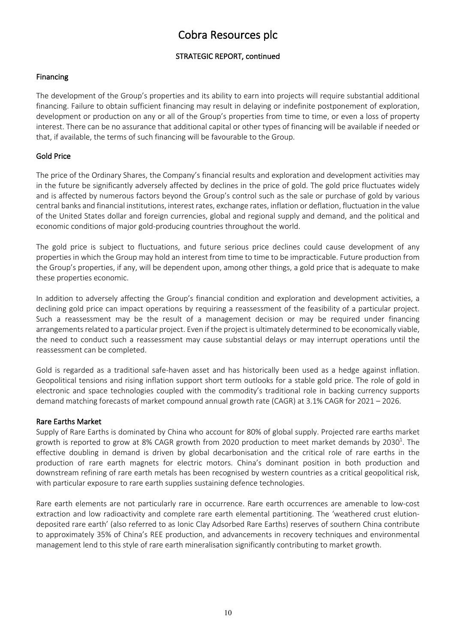### STRATEGIC REPORT, continued

### Financing

The development of the Group's properties and its ability to earn into projects will require substantial additional financing. Failure to obtain sufficient financing may result in delaying or indefinite postponement of exploration, development or production on any or all of the Group's properties from time to time, or even a loss of property interest. There can be no assurance that additional capital or other types of financing will be available if needed or that, if available, the terms of such financing will be favourable to the Group.

### Gold Price

The price of the Ordinary Shares, the Company's financial results and exploration and development activities may in the future be significantly adversely affected by declines in the price of gold. The gold price fluctuates widely and is affected by numerous factors beyond the Group's control such as the sale or purchase of gold by various central banks and financial institutions, interest rates, exchange rates, inflation or deflation, fluctuation in the value of the United States dollar and foreign currencies, global and regional supply and demand, and the political and economic conditions of major gold-producing countries throughout the world.

The gold price is subject to fluctuations, and future serious price declines could cause development of any properties in which the Group may hold an interest from time to time to be impracticable. Future production from the Group's properties, if any, will be dependent upon, among other things, a gold price that is adequate to make these properties economic.

In addition to adversely affecting the Group's financial condition and exploration and development activities, a declining gold price can impact operations by requiring a reassessment of the feasibility of a particular project. Such a reassessment may be the result of a management decision or may be required under financing arrangements related to a particular project. Even if the project is ultimately determined to be economically viable, the need to conduct such a reassessment may cause substantial delays or may interrupt operations until the reassessment can be completed.

Gold is regarded as a traditional safe-haven asset and has historically been used as a hedge against inflation. Geopolitical tensions and rising inflation support short term outlooks for a stable gold price. The role of gold in electronic and space technologies coupled with the commodity's traditional role in backing currency supports demand matching forecasts of market compound annual growth rate (CAGR) at 3.1% CAGR for 2021 – 2026.

### Rare Earths Market

Supply of Rare Earths is dominated by China who account for 80% of global supply. Projected rare earths market growth is reported to grow at 8% CAGR growth from 2020 production to meet market demands by 2030<sup>1</sup>. The effective doubling in demand is driven by global decarbonisation and the critical role of rare earths in the production of rare earth magnets for electric motors. China's dominant position in both production and downstream refining of rare earth metals has been recognised by western countries as a critical geopolitical risk, with particular exposure to rare earth supplies sustaining defence technologies.

Rare earth elements are not particularly rare in occurrence. Rare earth occurrences are amenable to low-cost extraction and low radioactivity and complete rare earth elemental partitioning. The 'weathered crust elutiondeposited rare earth' (also referred to as Ionic Clay Adsorbed Rare Earths) reserves of southern China contribute to approximately 35% of China's REE production, and advancements in recovery techniques and environmental management lend to this style of rare earth mineralisation significantly contributing to market growth.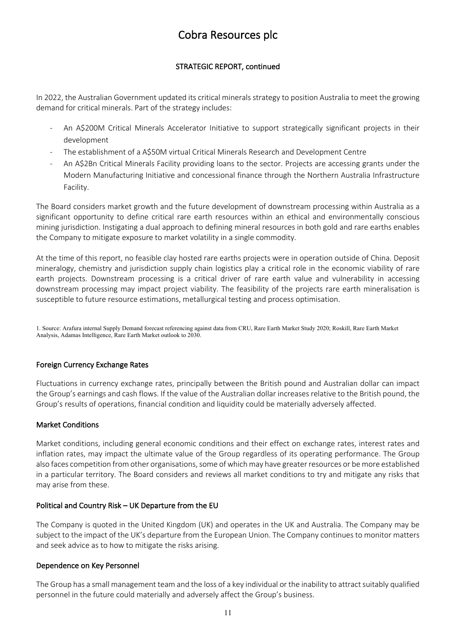### STRATEGIC REPORT, continued

In 2022, the Australian Government updated its critical minerals strategy to position Australia to meet the growing demand for critical minerals. Part of the strategy includes:

- An A\$200M Critical Minerals Accelerator Initiative to support strategically significant projects in their development
- The establishment of a A\$50M virtual Critical Minerals Research and Development Centre
- An A\$2Bn Critical Minerals Facility providing loans to the sector. Projects are accessing grants under the Modern Manufacturing Initiative and concessional finance through the Northern Australia Infrastructure Facility.

The Board considers market growth and the future development of downstream processing within Australia as a significant opportunity to define critical rare earth resources within an ethical and environmentally conscious mining jurisdiction. Instigating a dual approach to defining mineral resources in both gold and rare earths enables the Company to mitigate exposure to market volatility in a single commodity.

At the time of this report, no feasible clay hosted rare earths projects were in operation outside of China. Deposit mineralogy, chemistry and jurisdiction supply chain logistics play a critical role in the economic viability of rare earth projects. Downstream processing is a critical driver of rare earth value and vulnerability in accessing downstream processing may impact project viability. The feasibility of the projects rare earth mineralisation is susceptible to future resource estimations, metallurgical testing and process optimisation.

1. Source: Arafura internal Supply Demand forecast referencing against data from CRU, Rare Earth Market Study 2020; Roskill, Rare Earth Market Analysis, Adamas Intelligence, Rare Earth Market outlook to 2030.

### Foreign Currency Exchange Rates

Fluctuations in currency exchange rates, principally between the British pound and Australian dollar can impact the Group's earnings and cash flows. If the value of the Australian dollar increases relative to the British pound, the Group's results of operations, financial condition and liquidity could be materially adversely affected.

### Market Conditions

Market conditions, including general economic conditions and their effect on exchange rates, interest rates and inflation rates, may impact the ultimate value of the Group regardless of its operating performance. The Group also faces competition from other organisations, some of which may have greater resources or be more established in a particular territory. The Board considers and reviews all market conditions to try and mitigate any risks that may arise from these.

### Political and Country Risk – UK Departure from the EU

The Company is quoted in the United Kingdom (UK) and operates in the UK and Australia. The Company may be subject to the impact of the UK's departure from the European Union. The Company continues to monitor matters and seek advice as to how to mitigate the risks arising.

#### Dependence on Key Personnel

The Group has a small management team and the loss of a key individual or the inability to attract suitably qualified personnel in the future could materially and adversely affect the Group's business.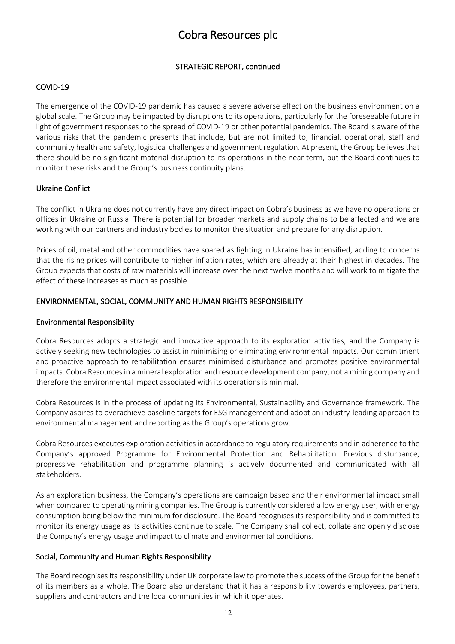### STRATEGIC REPORT, continued

#### COVID-19

The emergence of the COVID-19 pandemic has caused a severe adverse effect on the business environment on a global scale. The Group may be impacted by disruptions to its operations, particularly for the foreseeable future in light of government responses to the spread of COVID-19 or other potential pandemics. The Board is aware of the various risks that the pandemic presents that include, but are not limited to, financial, operational, staff and community health and safety, logistical challenges and government regulation. At present, the Group believes that there should be no significant material disruption to its operations in the near term, but the Board continues to monitor these risks and the Group's business continuity plans.

### Ukraine Conflict

The conflict in Ukraine does not currently have any direct impact on Cobra's business as we have no operations or offices in Ukraine or Russia. There is potential for broader markets and supply chains to be affected and we are working with our partners and industry bodies to monitor the situation and prepare for any disruption.

Prices of oil, metal and other commodities have soared as fighting in Ukraine has intensified, adding to concerns that the rising prices will contribute to higher inflation rates, which are already at their highest in decades. The Group expects that costs of raw materials will increase over the next twelve months and will work to mitigate the effect of these increases as much as possible.

#### ENVIRONMENTAL, SOCIAL, COMMUNITY AND HUMAN RIGHTS RESPONSIBILITY

#### Environmental Responsibility

Cobra Resources adopts a strategic and innovative approach to its exploration activities, and the Company is actively seeking new technologies to assist in minimising or eliminating environmental impacts. Our commitment and proactive approach to rehabilitation ensures minimised disturbance and promotes positive environmental impacts. Cobra Resources in a mineral exploration and resource development company, not a mining company and therefore the environmental impact associated with its operations is minimal.

Cobra Resources is in the process of updating its Environmental, Sustainability and Governance framework. The Company aspires to overachieve baseline targets for ESG management and adopt an industry-leading approach to environmental management and reporting as the Group's operations grow.

Cobra Resources executes exploration activities in accordance to regulatory requirements and in adherence to the Company's approved Programme for Environmental Protection and Rehabilitation. Previous disturbance, progressive rehabilitation and programme planning is actively documented and communicated with all stakeholders.

As an exploration business, the Company's operations are campaign based and their environmental impact small when compared to operating mining companies. The Group is currently considered a low energy user, with energy consumption being below the minimum for disclosure. The Board recognises its responsibility and is committed to monitor its energy usage as its activities continue to scale. The Company shall collect, collate and openly disclose the Company's energy usage and impact to climate and environmental conditions.

#### Social, Community and Human Rights Responsibility

The Board recognises its responsibility under UK corporate law to promote the success of the Group for the benefit of its members as a whole. The Board also understand that it has a responsibility towards employees, partners, suppliers and contractors and the local communities in which it operates.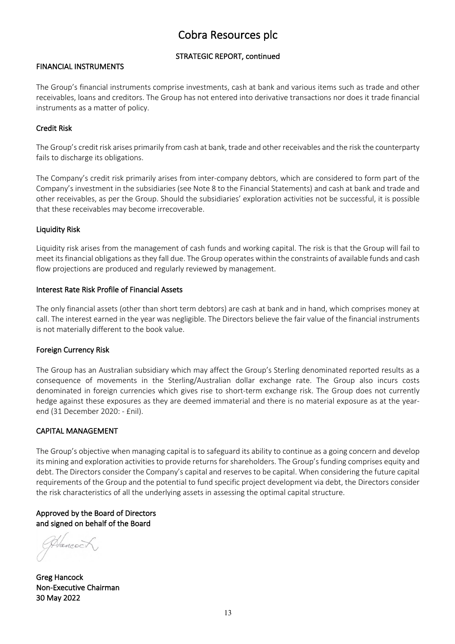### STRATEGIC REPORT, continued

#### FINANCIAL INSTRUMENTS

The Group's financial instruments comprise investments, cash at bank and various items such as trade and other receivables, loans and creditors. The Group has not entered into derivative transactions nor does it trade financial instruments as a matter of policy.

#### Credit Risk

The Group's credit risk arises primarily from cash at bank, trade and other receivables and the risk the counterparty fails to discharge its obligations.

The Company's credit risk primarily arises from inter-company debtors, which are considered to form part of the Company's investment in the subsidiaries (see Note 8 to the Financial Statements) and cash at bank and trade and other receivables, as per the Group. Should the subsidiaries' exploration activities not be successful, it is possible that these receivables may become irrecoverable.

#### Liquidity Risk

Liquidity risk arises from the management of cash funds and working capital. The risk is that the Group will fail to meet its financial obligations as they fall due. The Group operates within the constraints of available funds and cash flow projections are produced and regularly reviewed by management.

#### Interest Rate Risk Profile of Financial Assets

The only financial assets (other than short term debtors) are cash at bank and in hand, which comprises money at call. The interest earned in the year was negligible. The Directors believe the fair value of the financial instruments is not materially different to the book value.

#### Foreign Currency Risk

The Group has an Australian subsidiary which may affect the Group's Sterling denominated reported results as a consequence of movements in the Sterling/Australian dollar exchange rate. The Group also incurs costs denominated in foreign currencies which gives rise to short-term exchange risk. The Group does not currently hedge against these exposures as they are deemed immaterial and there is no material exposure as at the yearend (31 December 2020: - £nil).

### CAPITAL MANAGEMENT

The Group's objective when managing capital is to safeguard its ability to continue as a going concern and develop its mining and exploration activities to provide returns for shareholders. The Group's funding comprises equity and debt. The Directors consider the Company's capital and reserves to be capital. When considering the future capital requirements of the Group and the potential to fund specific project development via debt, the Directors consider the risk characteristics of all the underlying assets in assessing the optimal capital structure.

### Approved by the Board of Directors and signed on behalf of the Board

Hancoci

Greg Hancock Non-Executive Chairman 30 May 2022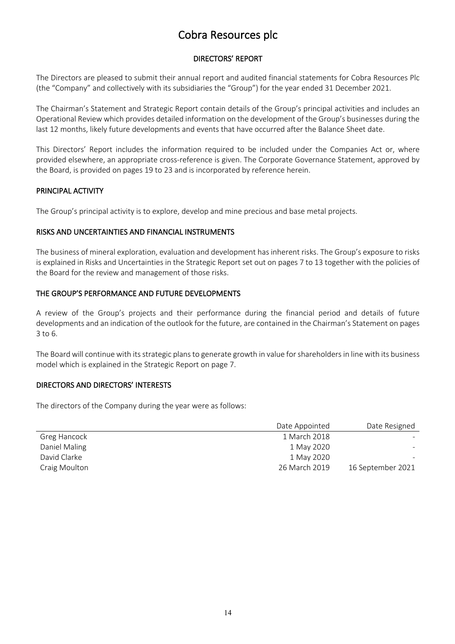### DIRECTORS' REPORT

The Directors are pleased to submit their annual report and audited financial statements for Cobra Resources Plc (the "Company" and collectively with its subsidiaries the "Group") for the year ended 31 December 2021.

The Chairman's Statement and Strategic Report contain details of the Group's principal activities and includes an Operational Review which provides detailed information on the development of the Group's businesses during the last 12 months, likely future developments and events that have occurred after the Balance Sheet date.

This Directors' Report includes the information required to be included under the Companies Act or, where provided elsewhere, an appropriate cross-reference is given. The Corporate Governance Statement, approved by the Board, is provided on pages 19 to 23 and is incorporated by reference herein.

#### PRINCIPAL ACTIVITY

The Group's principal activity is to explore, develop and mine precious and base metal projects.

#### RISKS AND UNCERTAINTIES AND FINANCIAL INSTRUMENTS

The business of mineral exploration, evaluation and development has inherent risks. The Group's exposure to risks is explained in Risks and Uncertainties in the Strategic Report set out on pages 7 to 13 together with the policies of the Board for the review and management of those risks.

### THE GROUP'S PERFORMANCE AND FUTURE DEVELOPMENTS

A review of the Group's projects and their performance during the financial period and details of future developments and an indication of the outlook for the future, are contained in the Chairman's Statement on pages 3 to 6.

The Board will continue with its strategic plans to generate growth in value for shareholders in line with its business model which is explained in the Strategic Report on page 7.

### DIRECTORS AND DIRECTORS' INTERESTS

The directors of the Company during the year were as follows:

|               | Date Appointed | Date Resigned     |
|---------------|----------------|-------------------|
| Greg Hancock  | 1 March 2018   |                   |
| Daniel Maling | 1 May 2020     |                   |
| David Clarke  | 1 May 2020     |                   |
| Craig Moulton | 26 March 2019  | 16 September 2021 |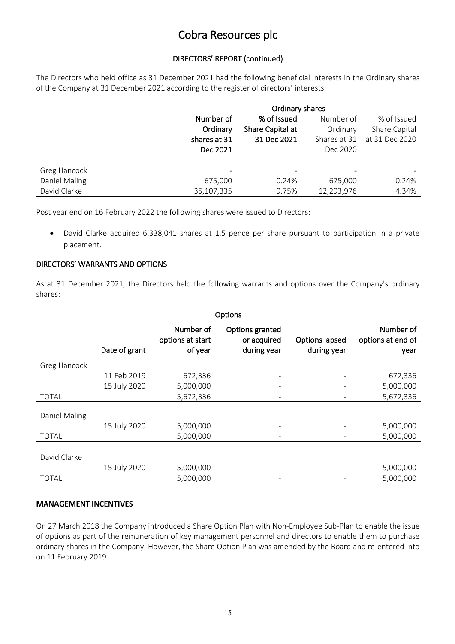### DIRECTORS' REPORT (continued)

The Directors who held office as 31 December 2021 had the following beneficial interests in the Ordinary shares of the Company at 31 December 2021 according to the register of directors' interests:

|               | Ordinary shares |                              |              |                |
|---------------|-----------------|------------------------------|--------------|----------------|
|               | Number of       | % of Issued                  | Number of    | % of Issued    |
|               | Ordinary        | Share Capital at             | Ordinary     | Share Capital  |
|               | shares at 31    | 31 Dec 2021                  | Shares at 31 | at 31 Dec 2020 |
|               | Dec 2021        |                              | Dec 2020     |                |
|               |                 |                              |              |                |
| Greg Hancock  |                 | $\qquad \qquad \blacksquare$ |              |                |
| Daniel Maling | 675,000         | 0.24%                        | 675,000      | 0.24%          |
| David Clarke  | 35,107,335      | 9.75%                        | 12,293,976   | 4.34%          |

Post year end on 16 February 2022 the following shares were issued to Directors:

• David Clarke acquired 6,338,041 shares at 1.5 pence per share pursuant to participation in a private placement.

### DIRECTORS' WARRANTS AND OPTIONS

As at 31 December 2021, the Directors held the following warrants and options over the Company's ordinary shares:

| Options       |               |                                          |                                               |                               |                                        |
|---------------|---------------|------------------------------------------|-----------------------------------------------|-------------------------------|----------------------------------------|
|               | Date of grant | Number of<br>options at start<br>of year | Options granted<br>or acquired<br>during year | Options lapsed<br>during year | Number of<br>options at end of<br>year |
| Greg Hancock  |               |                                          |                                               |                               |                                        |
|               | 11 Feb 2019   | 672,336                                  | -                                             |                               | 672,336                                |
|               | 15 July 2020  | 5,000,000                                | ٠                                             |                               | 5,000,000                              |
| <b>TOTAL</b>  |               | 5,672,336                                |                                               |                               | 5,672,336                              |
| Daniel Maling |               |                                          |                                               |                               |                                        |
|               | 15 July 2020  | 5,000,000                                |                                               |                               | 5,000,000                              |
| <b>TOTAL</b>  |               | 5,000,000                                | -                                             |                               | 5,000,000                              |
| David Clarke  |               |                                          |                                               |                               |                                        |
|               | 15 July 2020  | 5,000,000                                |                                               |                               | 5,000,000                              |
| <b>TOTAL</b>  |               | 5,000,000                                |                                               |                               | 5,000,000                              |

#### **MANAGEMENT INCENTIVES**

On 27 March 2018 the Company introduced a Share Option Plan with Non-Employee Sub-Plan to enable the issue of options as part of the remuneration of key management personnel and directors to enable them to purchase ordinary shares in the Company. However, the Share Option Plan was amended by the Board and re-entered into on 11 February 2019.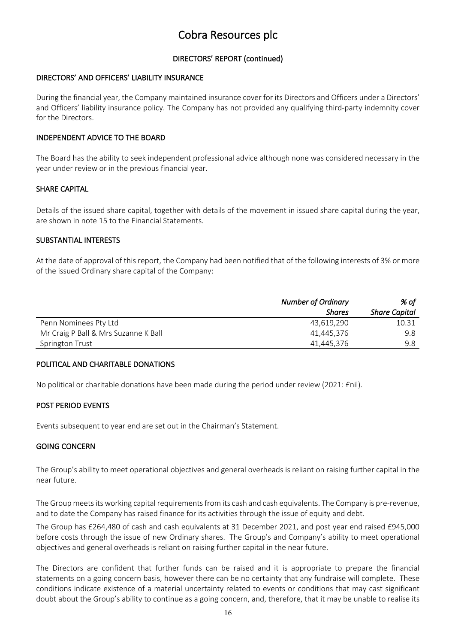### DIRECTORS' REPORT (continued)

#### DIRECTORS' AND OFFICERS' LIABILITY INSURANCE

During the financial year, the Company maintained insurance cover for its Directors and Officers under a Directors' and Officers' liability insurance policy. The Company has not provided any qualifying third-party indemnity cover for the Directors.

#### INDEPENDENT ADVICE TO THE BOARD

The Board has the ability to seek independent professional advice although none was considered necessary in the year under review or in the previous financial year.

#### SHARE CAPITAL

Details of the issued share capital, together with details of the movement in issued share capital during the year, are shown in note 15 to the Financial Statements.

#### SUBSTANTIAL INTERESTS

At the date of approval of this report, the Company had been notified that of the following interests of 3% or more of the issued Ordinary share capital of the Company:

|                                      | <b>Number of Ordinary</b> | % of                 |
|--------------------------------------|---------------------------|----------------------|
|                                      | <b>Shares</b>             | <b>Share Capital</b> |
| Penn Nominees Pty Ltd                | 43,619,290                | 10.31                |
| Mr Craig P Ball & Mrs Suzanne K Ball | 41,445,376                | 9.8                  |
| Springton Trust                      | 41,445,376                | 9.8                  |

### POLITICAL AND CHARITABLE DONATIONS

No political or charitable donations have been made during the period under review (2021: £nil).

### POST PERIOD EVENTS

Events subsequent to year end are set out in the Chairman's Statement.

#### GOING CONCERN

The Group's ability to meet operational objectives and general overheads is reliant on raising further capital in the near future.

The Group meets its working capital requirements from its cash and cash equivalents. The Company is pre-revenue, and to date the Company has raised finance for its activities through the issue of equity and debt.

The Group has £264,480 of cash and cash equivalents at 31 December 2021, and post year end raised £945,000 before costs through the issue of new Ordinary shares. The Group's and Company's ability to meet operational objectives and general overheads is reliant on raising further capital in the near future.

The Directors are confident that further funds can be raised and it is appropriate to prepare the financial statements on a going concern basis, however there can be no certainty that any fundraise will complete. These conditions indicate existence of a material uncertainty related to events or conditions that may cast significant doubt about the Group's ability to continue as a going concern, and, therefore, that it may be unable to realise its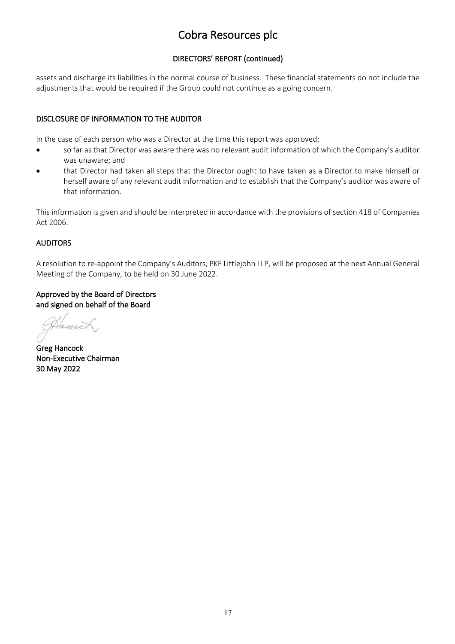### DIRECTORS' REPORT (continued)

assets and discharge its liabilities in the normal course of business. These financial statements do not include the adjustments that would be required if the Group could not continue as a going concern.

### DISCLOSURE OF INFORMATION TO THE AUDITOR

In the case of each person who was a Director at the time this report was approved:

- so far as that Director was aware there was no relevant audit information of which the Company's auditor was unaware; and
- that Director had taken all steps that the Director ought to have taken as a Director to make himself or herself aware of any relevant audit information and to establish that the Company's auditor was aware of that information.

This information is given and should be interpreted in accordance with the provisions of section 418 of Companies Act 2006.

### AUDITORS

A resolution to re-appoint the Company's Auditors, PKF Littlejohn LLP, will be proposed at the next Annual General Meeting of the Company, to be held on 30 June 2022.

### Approved by the Board of Directors and signed on behalf of the Board

Hancocr

 Greg Hancock Non-Executive Chairman 30 May 2022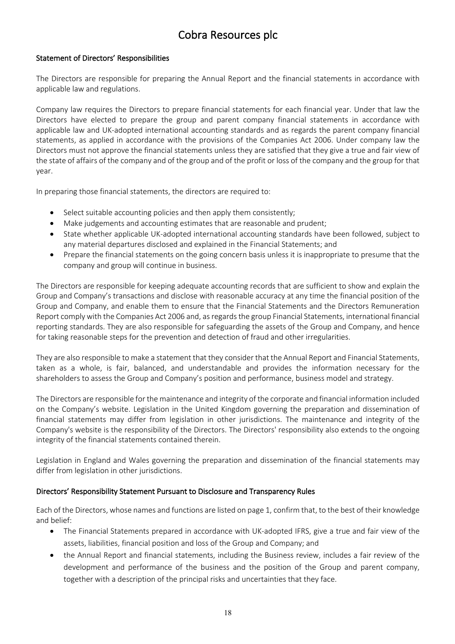#### Statement of Directors' Responsibilities

The Directors are responsible for preparing the Annual Report and the financial statements in accordance with applicable law and regulations.

Company law requires the Directors to prepare financial statements for each financial year. Under that law the Directors have elected to prepare the group and parent company financial statements in accordance with applicable law and UK-adopted international accounting standards and as regards the parent company financial statements, as applied in accordance with the provisions of the Companies Act 2006. Under company law the Directors must not approve the financial statements unless they are satisfied that they give a true and fair view of the state of affairs of the company and of the group and of the profit or loss of the company and the group for that year.

In preparing those financial statements, the directors are required to:

- Select suitable accounting policies and then apply them consistently;
- Make judgements and accounting estimates that are reasonable and prudent;
- State whether applicable UK-adopted international accounting standards have been followed, subject to any material departures disclosed and explained in the Financial Statements; and
- Prepare the financial statements on the going concern basis unless it is inappropriate to presume that the company and group will continue in business.

The Directors are responsible for keeping adequate accounting records that are sufficient to show and explain the Group and Company's transactions and disclose with reasonable accuracy at any time the financial position of the Group and Company, and enable them to ensure that the Financial Statements and the Directors Remuneration Report comply with the Companies Act 2006 and, as regards the group Financial Statements, international financial reporting standards. They are also responsible for safeguarding the assets of the Group and Company, and hence for taking reasonable steps for the prevention and detection of fraud and other irregularities.

They are also responsible to make a statement that they consider that the Annual Report and Financial Statements, taken as a whole, is fair, balanced, and understandable and provides the information necessary for the shareholders to assess the Group and Company's position and performance, business model and strategy.

The Directors are responsible for the maintenance and integrity of the corporate and financial information included on the Company's website. Legislation in the United Kingdom governing the preparation and dissemination of financial statements may differ from legislation in other jurisdictions. The maintenance and integrity of the Company's website is the responsibility of the Directors. The Directors' responsibility also extends to the ongoing integrity of the financial statements contained therein.

Legislation in England and Wales governing the preparation and dissemination of the financial statements may differ from legislation in other jurisdictions.

### Directors' Responsibility Statement Pursuant to Disclosure and Transparency Rules

Each of the Directors, whose names and functions are listed on page 1, confirm that, to the best of their knowledge and belief:

- The Financial Statements prepared in accordance with UK-adopted IFRS, give a true and fair view of the assets, liabilities, financial position and loss of the Group and Company; and
- the Annual Report and financial statements, including the Business review, includes a fair review of the development and performance of the business and the position of the Group and parent company, together with a description of the principal risks and uncertainties that they face.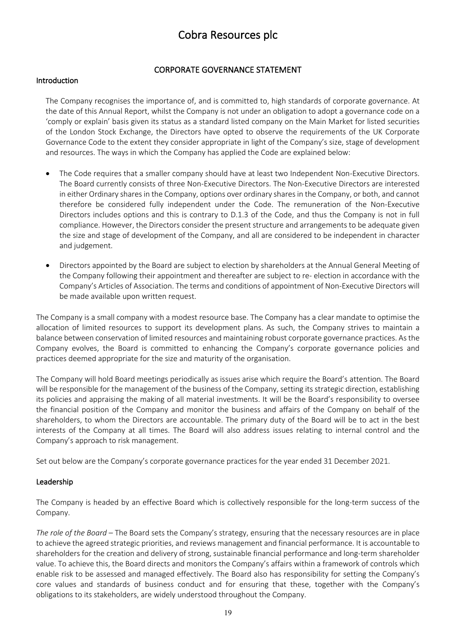## CORPORATE GOVERNANCE STATEMENT

#### Introduction

The Company recognises the importance of, and is committed to, high standards of corporate governance. At the date of this Annual Report, whilst the Company is not under an obligation to adopt a governance code on a 'comply or explain' basis given its status as a standard listed company on the Main Market for listed securities of the London Stock Exchange, the Directors have opted to observe the requirements of the UK Corporate Governance Code to the extent they consider appropriate in light of the Company's size, stage of development and resources. The ways in which the Company has applied the Code are explained below:

- The Code requires that a smaller company should have at least two Independent Non-Executive Directors. The Board currently consists of three Non-Executive Directors. The Non-Executive Directors are interested in either Ordinary shares in the Company, options over ordinary shares in the Company, or both, and cannot therefore be considered fully independent under the Code. The remuneration of the Non-Executive Directors includes options and this is contrary to D.1.3 of the Code, and thus the Company is not in full compliance. However, the Directors consider the present structure and arrangements to be adequate given the size and stage of development of the Company, and all are considered to be independent in character and judgement.
- Directors appointed by the Board are subject to election by shareholders at the Annual General Meeting of the Company following their appointment and thereafter are subject to re- election in accordance with the Company's Articles of Association. The terms and conditions of appointment of Non-Executive Directors will be made available upon written request.

The Company is a small company with a modest resource base. The Company has a clear mandate to optimise the allocation of limited resources to support its development plans. As such, the Company strives to maintain a balance between conservation of limited resources and maintaining robust corporate governance practices. As the Company evolves, the Board is committed to enhancing the Company's corporate governance policies and practices deemed appropriate for the size and maturity of the organisation.

The Company will hold Board meetings periodically as issues arise which require the Board's attention. The Board will be responsible for the management of the business of the Company, setting its strategic direction, establishing its policies and appraising the making of all material investments. It will be the Board's responsibility to oversee the financial position of the Company and monitor the business and affairs of the Company on behalf of the shareholders, to whom the Directors are accountable. The primary duty of the Board will be to act in the best interests of the Company at all times. The Board will also address issues relating to internal control and the Company's approach to risk management.

Set out below are the Company's corporate governance practices for the year ended 31 December 2021.

### Leadership

The Company is headed by an effective Board which is collectively responsible for the long-term success of the Company.

*The role of the Board* – The Board sets the Company's strategy, ensuring that the necessary resources are in place to achieve the agreed strategic priorities, and reviews management and financial performance. It is accountable to shareholders for the creation and delivery of strong, sustainable financial performance and long-term shareholder value. To achieve this, the Board directs and monitors the Company's affairs within a framework of controls which enable risk to be assessed and managed effectively. The Board also has responsibility for setting the Company's core values and standards of business conduct and for ensuring that these, together with the Company's obligations to its stakeholders, are widely understood throughout the Company.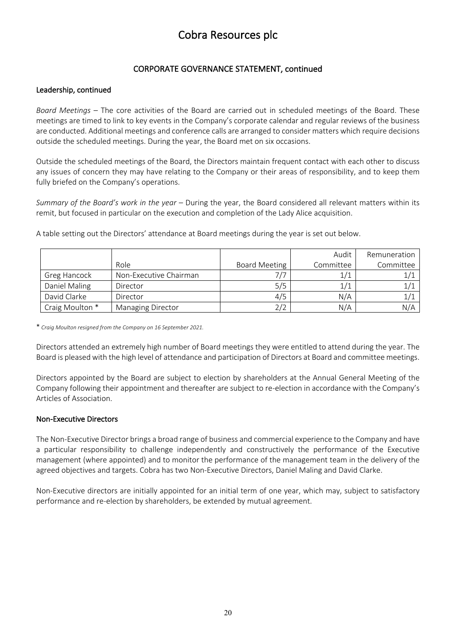## CORPORATE GOVERNANCE STATEMENT, continued

#### Leadership, continued

*Board Meetings* – The core activities of the Board are carried out in scheduled meetings of the Board. These meetings are timed to link to key events in the Company's corporate calendar and regular reviews of the business are conducted. Additional meetings and conference calls are arranged to consider matters which require decisions outside the scheduled meetings. During the year, the Board met on six occasions.

Outside the scheduled meetings of the Board, the Directors maintain frequent contact with each other to discuss any issues of concern they may have relating to the Company or their areas of responsibility, and to keep them fully briefed on the Company's operations.

*Summary of the Board's work in the year* – During the year, the Board considered all relevant matters within its remit, but focused in particular on the execution and completion of the Lady Alice acquisition.

Role **Board Meeting** Audit Committee Remuneration Committee Greg Hancock Non-Executive Chairman 1 7/7 1/1 1/1 1/1 Daniel Maling Director 5/5 1/1 1/1 David Clarke Director and the set of the class of the class of the class of the class of the class of the class of the class of the class of the class of the class of the class of the class of the class of the class of the Craig Moulton \* | Managing Director  $\vert$  2/2 | N/A | N/A

A table setting out the Directors' attendance at Board meetings during the year is set out below.

\* *Craig Moulton resigned from the Company on 16 September 2021.*

Directors attended an extremely high number of Board meetings they were entitled to attend during the year. The Board is pleased with the high level of attendance and participation of Directors at Board and committee meetings.

Directors appointed by the Board are subject to election by shareholders at the Annual General Meeting of the Company following their appointment and thereafter are subject to re-election in accordance with the Company's Articles of Association.

#### Non-Executive Directors

The Non-Executive Director brings a broad range of business and commercial experience to the Company and have a particular responsibility to challenge independently and constructively the performance of the Executive management (where appointed) and to monitor the performance of the management team in the delivery of the agreed objectives and targets. Cobra has two Non-Executive Directors, Daniel Maling and David Clarke.

Non-Executive directors are initially appointed for an initial term of one year, which may, subject to satisfactory performance and re-election by shareholders, be extended by mutual agreement.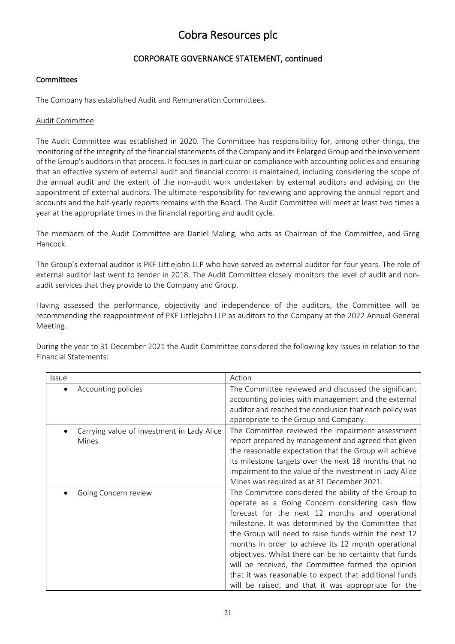## CORPORATE GOVERNANCE STATEMENT, continued

### **Committees**

The Company has established Audit and Remuneration Committees.

#### Audit Committee

The Audit Committee was established in 2020. The Committee has responsibility for, among other things, the monitoring of the integrity of the financial statements of the Company and its Enlarged Group and the involvement of the Group's auditors in that process. It focuses in particular on compliance with accounting policies and ensuring that an effective system of external audit and financial control is maintained, including considering the scope of the annual audit and the extent of the non-audit work undertaken by external auditors and advising on the appointment of external auditors. The ultimate responsibility for reviewing and approving the annual report and accounts and the half-yearly reports remains with the Board. The Audit Committee will meet at least two times a year at the appropriate times in the financial reporting and audit cycle.

The members of the Audit Committee are Daniel Maling, who acts as Chairman of the Committee, and Greg Hancock.

The Group's external auditor is PKF Littlejohn LLP who have served as external auditor for four years. The role of external auditor last went to tender in 2018. The Audit Committee closely monitors the level of audit and nonaudit services that they provide to the Company and Group.

Having assessed the performance, objectivity and independence of the auditors, the Committee will be recommending the reappointment of PKF Littlejohn LLP as auditors to the Company at the 2022 Annual General Meeting.

During the year to 31 December 2021 the Audit Committee considered the following key issues in relation to the Financial Statements:

| <i>Issue</i> |                                            | Action                                                  |
|--------------|--------------------------------------------|---------------------------------------------------------|
|              | Accounting policies                        | The Committee reviewed and discussed the significant    |
|              |                                            | accounting policies with management and the external    |
|              |                                            | auditor and reached the conclusion that each policy was |
|              |                                            | appropriate to the Group and Company.                   |
|              | Carrying value of investment in Lady Alice | The Committee reviewed the impairment assessment        |
|              | Mines                                      | report prepared by management and agreed that given     |
|              |                                            | the reasonable expectation that the Group will achieve  |
|              |                                            | its milestone targets over the next 18 months that no   |
|              |                                            | impairment to the value of the investment in Lady Alice |
|              |                                            | Mines was required as at 31 December 2021.              |
|              | Going Concern review                       | The Committee considered the ability of the Group to    |
|              |                                            | operate as a Going Concern considering cash flow        |
|              |                                            | forecast for the next 12 months and operational         |
|              |                                            | milestone. It was determined by the Committee that      |
|              |                                            | the Group will need to raise funds within the next 12   |
|              |                                            | months in order to achieve its 12 month operational     |
|              |                                            | objectives. Whilst there can be no certainty that funds |
|              |                                            | will be received, the Committee formed the opinion      |
|              |                                            | that it was reasonable to expect that additional funds  |
|              |                                            | will be raised, and that it was appropriate for the     |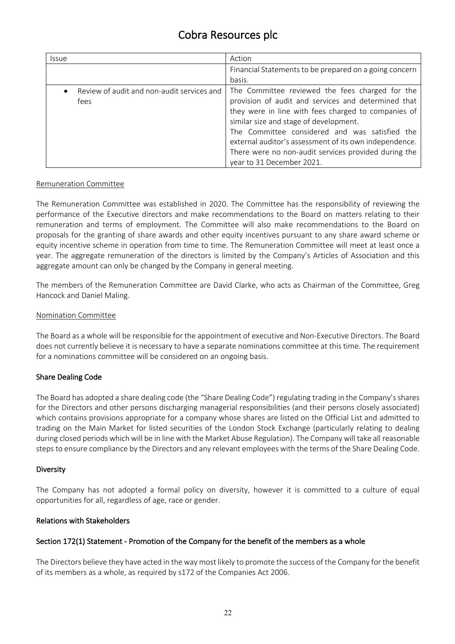| <b>Issue</b> |                                                    | Action                                                                                                                                                                                                                                                    |
|--------------|----------------------------------------------------|-----------------------------------------------------------------------------------------------------------------------------------------------------------------------------------------------------------------------------------------------------------|
|              |                                                    | Financial Statements to be prepared on a going concern                                                                                                                                                                                                    |
|              |                                                    | basis.                                                                                                                                                                                                                                                    |
|              | Review of audit and non-audit services and<br>fees | The Committee reviewed the fees charged for the<br>provision of audit and services and determined that<br>they were in line with fees charged to companies of<br>similar size and stage of development.<br>The Committee considered and was satisfied the |
|              |                                                    | external auditor's assessment of its own independence.<br>There were no non-audit services provided during the<br>year to 31 December 2021.                                                                                                               |

#### Remuneration Committee

The Remuneration Committee was established in 2020. The Committee has the responsibility of reviewing the performance of the Executive directors and make recommendations to the Board on matters relating to their remuneration and terms of employment. The Committee will also make recommendations to the Board on proposals for the granting of share awards and other equity incentives pursuant to any share award scheme or equity incentive scheme in operation from time to time. The Remuneration Committee will meet at least once a year. The aggregate remuneration of the directors is limited by the Company's Articles of Association and this aggregate amount can only be changed by the Company in general meeting.

The members of the Remuneration Committee are David Clarke, who acts as Chairman of the Committee, Greg Hancock and Daniel Maling.

#### Nomination Committee

The Board as a whole will be responsible for the appointment of executive and Non-Executive Directors. The Board does not currently believe it is necessary to have a separate nominations committee at this time. The requirement for a nominations committee will be considered on an ongoing basis.

### Share Dealing Code

The Board has adopted a share dealing code (the "Share Dealing Code") regulating trading in the Company's shares for the Directors and other persons discharging managerial responsibilities (and their persons closely associated) which contains provisions appropriate for a company whose shares are listed on the Official List and admitted to trading on the Main Market for listed securities of the London Stock Exchange (particularly relating to dealing during closed periods which will be in line with the Market Abuse Regulation). The Company will take all reasonable steps to ensure compliance by the Directors and any relevant employees with the terms of the Share Dealing Code.

#### **Diversity**

The Company has not adopted a formal policy on diversity, however it is committed to a culture of equal opportunities for all, regardless of age, race or gender.

#### Relations with Stakeholders

#### Section 172(1) Statement - Promotion of the Company for the benefit of the members as a whole

The Directors believe they have acted in the way most likely to promote the success of the Company for the benefit of its members as a whole, as required by s172 of the Companies Act 2006.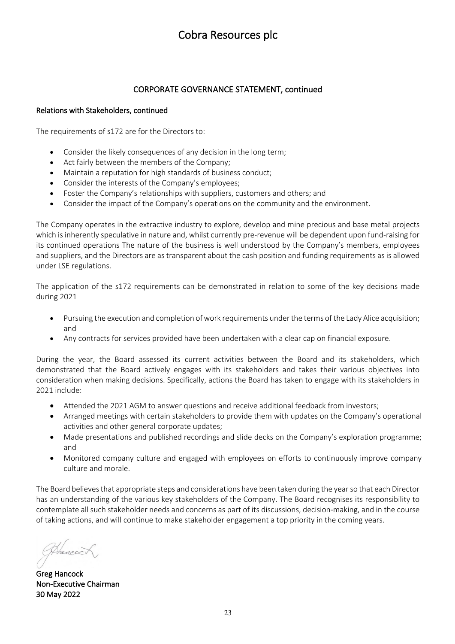### CORPORATE GOVERNANCE STATEMENT, continued

#### Relations with Stakeholders, continued

The requirements of s172 are for the Directors to:

- Consider the likely consequences of any decision in the long term;
- Act fairly between the members of the Company;
- Maintain a reputation for high standards of business conduct;
- Consider the interests of the Company's employees;
- Foster the Company's relationships with suppliers, customers and others; and
- Consider the impact of the Company's operations on the community and the environment.

The Company operates in the extractive industry to explore, develop and mine precious and base metal projects which is inherently speculative in nature and, whilst currently pre-revenue will be dependent upon fund-raising for its continued operations The nature of the business is well understood by the Company's members, employees and suppliers, and the Directors are as transparent about the cash position and funding requirements as is allowed under LSE regulations.

The application of the s172 requirements can be demonstrated in relation to some of the key decisions made during 2021

- Pursuing the execution and completion of work requirements under the terms of the Lady Alice acquisition; and
- Any contracts for services provided have been undertaken with a clear cap on financial exposure.

During the year, the Board assessed its current activities between the Board and its stakeholders, which demonstrated that the Board actively engages with its stakeholders and takes their various objectives into consideration when making decisions. Specifically, actions the Board has taken to engage with its stakeholders in 2021 include:

- Attended the 2021 AGM to answer questions and receive additional feedback from investors;
- Arranged meetings with certain stakeholders to provide them with updates on the Company's operational activities and other general corporate updates;
- Made presentations and published recordings and slide decks on the Company's exploration programme; and
- Monitored company culture and engaged with employees on efforts to continuously improve company culture and morale.

The Board believes that appropriate steps and considerations have been taken during the year so that each Director has an understanding of the various key stakeholders of the Company. The Board recognises its responsibility to contemplate all such stakeholder needs and concerns as part of its discussions, decision-making, and in the course of taking actions, and will continue to make stakeholder engagement a top priority in the coming years.

Hayson

 Greg Hancock Non-Executive Chairman 30 May 2022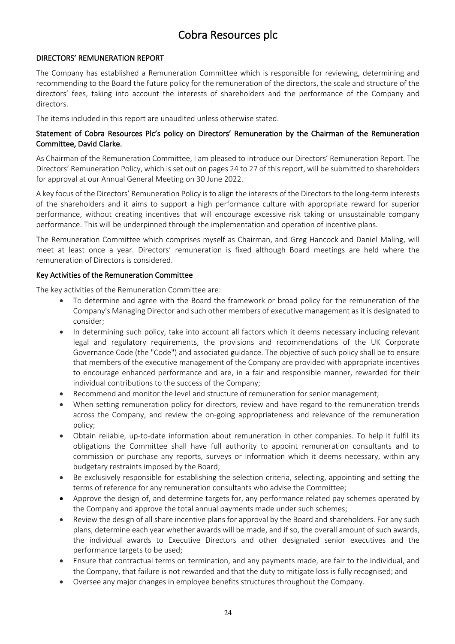#### DIRECTORS' REMUNERATION REPORT

The Company has established a Remuneration Committee which is responsible for reviewing, determining and recommending to the Board the future policy for the remuneration of the directors, the scale and structure of the directors' fees, taking into account the interests of shareholders and the performance of the Company and directors.

The items included in this report are unaudited unless otherwise stated.

### Statement of Cobra Resources Plc's policy on Directors' Remuneration by the Chairman of the Remuneration Committee, David Clarke.

As Chairman of the Remuneration Committee, I am pleased to introduce our Directors' Remuneration Report. The Directors' Remuneration Policy, which is set out on pages 24 to 27 of this report, will be submitted to shareholders for approval at our Annual General Meeting on 30 June 2022.

A key focus of the Directors' Remuneration Policy is to align the interests of the Directors to the long-term interests of the shareholders and it aims to support a high performance culture with appropriate reward for superior performance, without creating incentives that will encourage excessive risk taking or unsustainable company performance. This will be underpinned through the implementation and operation of incentive plans.

The Remuneration Committee which comprises myself as Chairman, and Greg Hancock and Daniel Maling, will meet at least once a year. Directors' remuneration is fixed although Board meetings are held where the remuneration of Directors is considered.

#### Key Activities of the Remuneration Committee

The key activities of the Remuneration Committee are:

- To determine and agree with the Board the framework or broad policy for the remuneration of the Company's Managing Director and such other members of executive management as it is designated to consider;
- In determining such policy, take into account all factors which it deems necessary including relevant legal and regulatory requirements, the provisions and recommendations of the UK Corporate Governance Code (the "Code") and associated guidance. The objective of such policy shall be to ensure that members of the executive management of the Company are provided with appropriate incentives to encourage enhanced performance and are, in a fair and responsible manner, rewarded for their individual contributions to the success of the Company;
- Recommend and monitor the level and structure of remuneration for senior management;
- When setting remuneration policy for directors, review and have regard to the remuneration trends across the Company, and review the on-going appropriateness and relevance of the remuneration policy;
- Obtain reliable, up-to-date information about remuneration in other companies. To help it fulfil its obligations the Committee shall have full authority to appoint remuneration consultants and to commission or purchase any reports, surveys or information which it deems necessary, within any budgetary restraints imposed by the Board;
- Be exclusively responsible for establishing the selection criteria, selecting, appointing and setting the terms of reference for any remuneration consultants who advise the Committee;
- Approve the design of, and determine targets for, any performance related pay schemes operated by the Company and approve the total annual payments made under such schemes;
- Review the design of all share incentive plans for approval by the Board and shareholders. For any such plans, determine each year whether awards will be made, and if so, the overall amount of such awards, the individual awards to Executive Directors and other designated senior executives and the performance targets to be used;
- Ensure that contractual terms on termination, and any payments made, are fair to the individual, and the Company, that failure is not rewarded and that the duty to mitigate loss is fully recognised; and
- Oversee any major changes in employee benefits structures throughout the Company.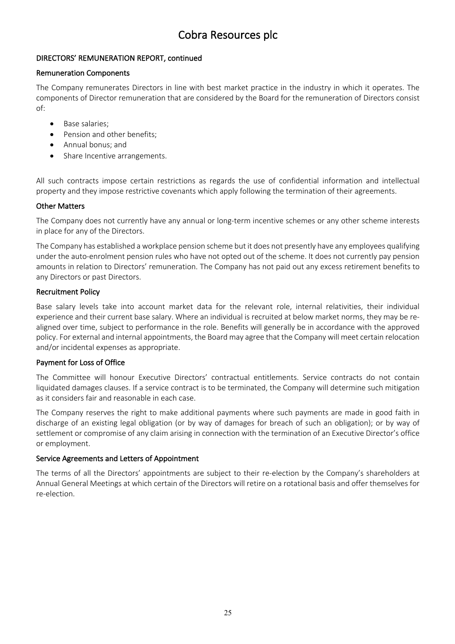### DIRECTORS' REMUNERATION REPORT, continued

#### Remuneration Components

The Company remunerates Directors in line with best market practice in the industry in which it operates. The components of Director remuneration that are considered by the Board for the remuneration of Directors consist of:

- Base salaries;
- Pension and other benefits;
- Annual bonus; and
- Share Incentive arrangements.

All such contracts impose certain restrictions as regards the use of confidential information and intellectual property and they impose restrictive covenants which apply following the termination of their agreements.

### Other Matters

The Company does not currently have any annual or long-term incentive schemes or any other scheme interests in place for any of the Directors.

The Company has established a workplace pension scheme but it does not presently have any employees qualifying under the auto-enrolment pension rules who have not opted out of the scheme. It does not currently pay pension amounts in relation to Directors' remuneration. The Company has not paid out any excess retirement benefits to any Directors or past Directors.

### Recruitment Policy

Base salary levels take into account market data for the relevant role, internal relativities, their individual experience and their current base salary. Where an individual is recruited at below market norms, they may be realigned over time, subject to performance in the role. Benefits will generally be in accordance with the approved policy. For external and internal appointments, the Board may agree that the Company will meet certain relocation and/or incidental expenses as appropriate.

### Payment for Loss of Office

The Committee will honour Executive Directors' contractual entitlements. Service contracts do not contain liquidated damages clauses. If a service contract is to be terminated, the Company will determine such mitigation as it considers fair and reasonable in each case.

The Company reserves the right to make additional payments where such payments are made in good faith in discharge of an existing legal obligation (or by way of damages for breach of such an obligation); or by way of settlement or compromise of any claim arising in connection with the termination of an Executive Director's office or employment.

### Service Agreements and Letters of Appointment

The terms of all the Directors' appointments are subject to their re-election by the Company's shareholders at Annual General Meetings at which certain of the Directors will retire on a rotational basis and offer themselves for re-election.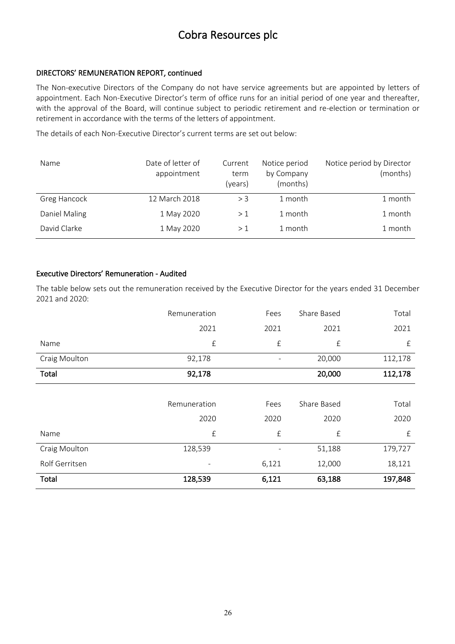### DIRECTORS' REMUNERATION REPORT, continued

The Non-executive Directors of the Company do not have service agreements but are appointed by letters of appointment. Each Non-Executive Director's term of office runs for an initial period of one year and thereafter, with the approval of the Board, will continue subject to periodic retirement and re-election or termination or retirement in accordance with the terms of the letters of appointment.

The details of each Non-Executive Director's current terms are set out below:

| Name          | Date of letter of<br>appointment | Current<br>term<br>(years) | Notice period<br>by Company<br>(months) | Notice period by Director<br>(months) |
|---------------|----------------------------------|----------------------------|-----------------------------------------|---------------------------------------|
| Greg Hancock  | 12 March 2018                    | $>$ 3                      | 1 month                                 | 1 month                               |
| Daniel Maling | 1 May 2020                       | >1                         | 1 month                                 | 1 month                               |
| David Clarke  | 1 May 2020                       | >1                         | 1 month                                 | 1 month                               |

### Executive Directors' Remuneration - Audited

The table below sets out the remuneration received by the Executive Director for the years ended 31 December 2021 and 2020:

|                | Remuneration | Fees   | Share Based | Total   |
|----------------|--------------|--------|-------------|---------|
|                | 2021         | 2021   | 2021        | 2021    |
| Name           | $\pounds$    | £      | $\pounds$   | £       |
| Craig Moulton  | 92,178       | 20,000 |             | 112,178 |
| Total          | 92,178       | 20,000 |             | 112,178 |
|                |              |        |             |         |
|                |              |        |             |         |
|                | Remuneration | Fees   | Share Based | Total   |
|                | 2020         | 2020   | 2020        | 2020    |
| Name           | $\pounds$    | £      | $\pounds$   | £       |
| Craig Moulton  | 128,539      |        | 51,188      | 179,727 |
| Rolf Gerritsen |              | 6,121  | 12,000      | 18,121  |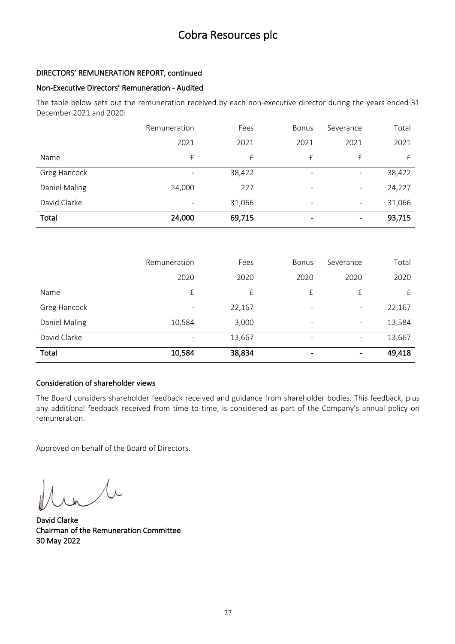### DIRECTORS' REMUNERATION REPORT, continued

#### Non-Executive Directors' Remuneration - Audited

The table below sets out the remuneration received by each non-executive director during the years ended 31 December 2021 and 2020:

|               | Remuneration             | Fees   | <b>Bonus</b>                 | Severance                | Total  |
|---------------|--------------------------|--------|------------------------------|--------------------------|--------|
|               | 2021                     | 2021   | 2021                         | 2021                     | 2021   |
| Name          | £                        | £      | £                            | £                        |        |
| Greg Hancock  | $\overline{\phantom{0}}$ | 38,422 | $\overline{\phantom{a}}$     | $\overline{\phantom{a}}$ | 38,422 |
| Daniel Maling | 24,000                   | 227    | $\qquad \qquad \blacksquare$ | -                        | 24,227 |
| David Clarke  | $\overline{\phantom{a}}$ | 31,066 | -                            | $\overline{\phantom{a}}$ | 31,066 |
| Total         | 24,000                   | 69,715 | $\qquad \qquad \blacksquare$ | $\overline{\phantom{0}}$ | 93,715 |

|               | Remuneration | Fees   | <b>Bonus</b>                 | Severance | Total  |
|---------------|--------------|--------|------------------------------|-----------|--------|
|               | 2020         | 2020   | 2020                         | 2020      | 2020   |
| Name          | £            | £      | £                            | £         |        |
| Greg Hancock  |              | 22,167 | -                            |           | 22,167 |
| Daniel Maling | 10,584       | 3,000  | $\qquad \qquad \blacksquare$ | -         | 13,584 |
| David Clarke  | ۰            | 13,667 | -                            | -         | 13,667 |
| Total         | 10,584       | 38,834 | -                            |           | 49,418 |

#### Consideration of shareholder views

The Board considers shareholder feedback received and guidance from shareholder bodies. This feedback, plus any additional feedback received from time to time, is considered as part of the Company's annual policy on remuneration.

Approved on behalf of the Board of Directors.

 $\mu$ 

David Clarke Chairman of the Remuneration Committee 30 May 2022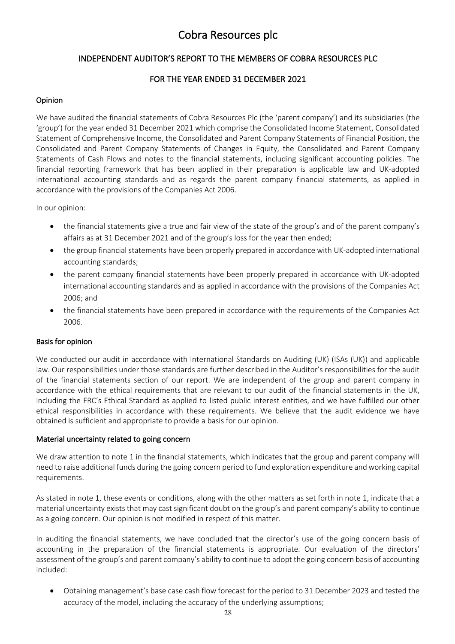## INDEPENDENT AUDITOR'S REPORT TO THE MEMBERS OF COBRA RESOURCES PLC

## FOR THE YEAR ENDED 31 DECEMBER 2021

### Opinion

We have audited the financial statements of Cobra Resources Plc (the 'parent company') and its subsidiaries (the 'group') for the year ended 31 December 2021 which comprise the Consolidated Income Statement, Consolidated Statement of Comprehensive Income, the Consolidated and Parent Company Statements of Financial Position, the Consolidated and Parent Company Statements of Changes in Equity, the Consolidated and Parent Company Statements of Cash Flows and notes to the financial statements, including significant accounting policies. The financial reporting framework that has been applied in their preparation is applicable law and UK-adopted international accounting standards and as regards the parent company financial statements, as applied in accordance with the provisions of the Companies Act 2006.

In our opinion:

- the financial statements give a true and fair view of the state of the group's and of the parent company's affairs as at 31 December 2021 and of the group's loss for the year then ended;
- the group financial statements have been properly prepared in accordance with UK-adopted international accounting standards;
- the parent company financial statements have been properly prepared in accordance with UK-adopted international accounting standards and as applied in accordance with the provisions of the Companies Act 2006; and
- the financial statements have been prepared in accordance with the requirements of the Companies Act 2006.

### Basis for opinion

We conducted our audit in accordance with International Standards on Auditing (UK) (ISAs (UK)) and applicable law. Our responsibilities under those standards are further described in the Auditor's responsibilities for the audit of the financial statements section of our report. We are independent of the group and parent company in accordance with the ethical requirements that are relevant to our audit of the financial statements in the UK, including the FRC's Ethical Standard as applied to listed public interest entities, and we have fulfilled our other ethical responsibilities in accordance with these requirements. We believe that the audit evidence we have obtained is sufficient and appropriate to provide a basis for our opinion.

### Material uncertainty related to going concern

We draw attention to note 1 in the financial statements, which indicates that the group and parent company will need to raise additional funds during the going concern period to fund exploration expenditure and working capital requirements.

As stated in note 1, these events or conditions, along with the other matters as set forth in note 1, indicate that a material uncertainty exists that may cast significant doubt on the group's and parent company's ability to continue as a going concern. Our opinion is not modified in respect of this matter.

In auditing the financial statements, we have concluded that the director's use of the going concern basis of accounting in the preparation of the financial statements is appropriate. Our evaluation of the directors' assessment of the group's and parent company's ability to continue to adopt the going concern basis of accounting included:

• Obtaining management's base case cash flow forecast for the period to 31 December 2023 and tested the accuracy of the model, including the accuracy of the underlying assumptions;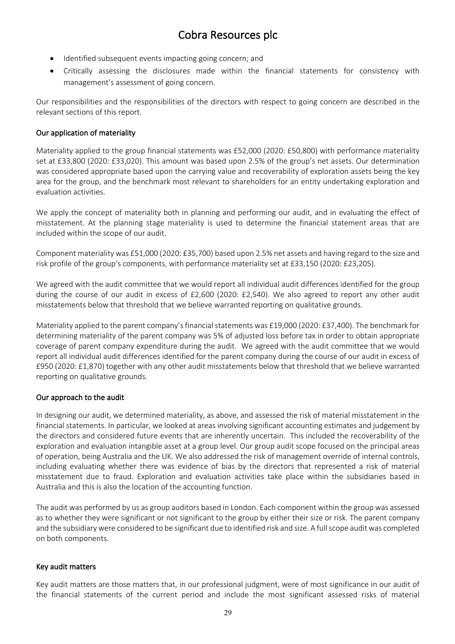- Identified subsequent events impacting going concern; and
- Critically assessing the disclosures made within the financial statements for consistency with management's assessment of going concern.

Our responsibilities and the responsibilities of the directors with respect to going concern are described in the relevant sections of this report.

#### Our application of materiality

Materiality applied to the group financial statements was £52,000 (2020: £50,800) with performance materiality set at £33,800 (2020: £33,020). This amount was based upon 2.5% of the group's net assets. Our determination was considered appropriate based upon the carrying value and recoverability of exploration assets being the key area for the group, and the benchmark most relevant to shareholders for an entity undertaking exploration and evaluation activities.

We apply the concept of materiality both in planning and performing our audit, and in evaluating the effect of misstatement. At the planning stage materiality is used to determine the financial statement areas that are included within the scope of our audit.

Component materiality was £51,000 (2020: £35,700) based upon 2.5% net assets and having regard to the size and risk profile of the group's components, with performance materiality set at £33,150 (2020: £23,205).

We agreed with the audit committee that we would report all individual audit differences identified for the group during the course of our audit in excess of £2,600 (2020: £2,540). We also agreed to report any other audit misstatements below that threshold that we believe warranted reporting on qualitative grounds.

Materiality applied to the parent company's financial statements was £19,000 (2020: £37,400). The benchmark for determining materiality of the parent company was 5% of adjusted loss before tax in order to obtain appropriate coverage of parent company expenditure during the audit. We agreed with the audit committee that we would report all individual audit differences identified for the parent company during the course of our audit in excess of £950 (2020: £1,870) together with any other audit misstatements below that threshold that we believe warranted reporting on qualitative grounds.

### Our approach to the audit

In designing our audit, we determined materiality, as above, and assessed the risk of material misstatement in the financial statements. In particular, we looked at areas involving significant accounting estimates and judgement by the directors and considered future events that are inherently uncertain. This included the recoverability of the exploration and evaluation intangible asset at a group level. Our group audit scope focused on the principal areas of operation, being Australia and the UK. We also addressed the risk of management override of internal controls, including evaluating whether there was evidence of bias by the directors that represented a risk of material misstatement due to fraud. Exploration and evaluation activities take place within the subsidiaries based in Australia and this is also the location of the accounting function.

The audit was performed by us as group auditors based in London. Each component within the group was assessed as to whether they were significant or not significant to the group by either their size or risk. The parent company and the subsidiary were considered to be significant due to identified risk and size. A full scope audit was completed on both components.

#### Key audit matters

Key audit matters are those matters that, in our professional judgment, were of most significance in our audit of the financial statements of the current period and include the most significant assessed risks of material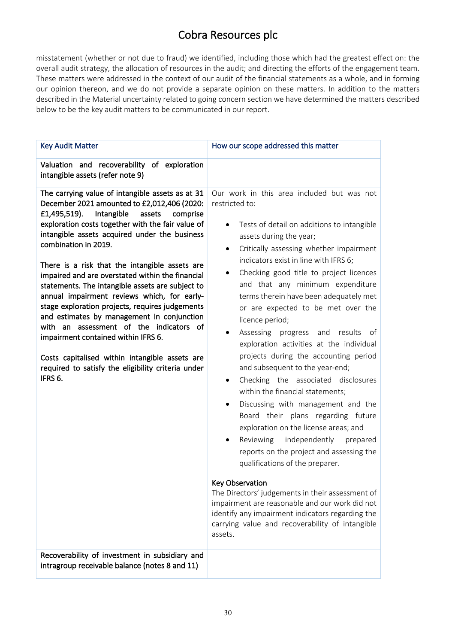misstatement (whether or not due to fraud) we identified, including those which had the greatest effect on: the overall audit strategy, the allocation of resources in the audit; and directing the efforts of the engagement team. These matters were addressed in the context of our audit of the financial statements as a whole, and in forming our opinion thereon, and we do not provide a separate opinion on these matters. In addition to the matters described in the Material uncertainty related to going concern section we have determined the matters described below to be the key audit matters to be communicated in our report.

| <b>Key Audit Matter</b>                                                                                                                                                                                                                                                                                                                                                                                                                                                                                                                                                                                                                                                                                                                                                                          | How our scope addressed this matter                                                                                                                                                                                                                                                                                                                                                                                                                                                                                                                                                                                                                                                                                                                                                                                                                                                                                                                                                                                                                                                                                                                                 |
|--------------------------------------------------------------------------------------------------------------------------------------------------------------------------------------------------------------------------------------------------------------------------------------------------------------------------------------------------------------------------------------------------------------------------------------------------------------------------------------------------------------------------------------------------------------------------------------------------------------------------------------------------------------------------------------------------------------------------------------------------------------------------------------------------|---------------------------------------------------------------------------------------------------------------------------------------------------------------------------------------------------------------------------------------------------------------------------------------------------------------------------------------------------------------------------------------------------------------------------------------------------------------------------------------------------------------------------------------------------------------------------------------------------------------------------------------------------------------------------------------------------------------------------------------------------------------------------------------------------------------------------------------------------------------------------------------------------------------------------------------------------------------------------------------------------------------------------------------------------------------------------------------------------------------------------------------------------------------------|
| Valuation and recoverability of exploration<br>intangible assets (refer note 9)                                                                                                                                                                                                                                                                                                                                                                                                                                                                                                                                                                                                                                                                                                                  |                                                                                                                                                                                                                                                                                                                                                                                                                                                                                                                                                                                                                                                                                                                                                                                                                                                                                                                                                                                                                                                                                                                                                                     |
| The carrying value of intangible assets as at 31<br>December 2021 amounted to £2,012,406 (2020:<br>£1,495,519).<br>Intangible<br>assets<br>comprise<br>exploration costs together with the fair value of<br>intangible assets acquired under the business<br>combination in 2019.<br>There is a risk that the intangible assets are<br>impaired and are overstated within the financial<br>statements. The intangible assets are subject to<br>annual impairment reviews which, for early-<br>stage exploration projects, requires judgements<br>and estimates by management in conjunction<br>with an assessment of the indicators of<br>impairment contained within IFRS 6.<br>Costs capitalised within intangible assets are<br>required to satisfy the eligibility criteria under<br>IFRS 6. | Our work in this area included but was not<br>restricted to:<br>Tests of detail on additions to intangible<br>assets during the year;<br>Critically assessing whether impairment<br>$\bullet$<br>indicators exist in line with IFRS 6;<br>Checking good title to project licences<br>and that any minimum expenditure<br>terms therein have been adequately met<br>or are expected to be met over the<br>licence period;<br>Assessing progress and results<br>of<br>exploration activities at the individual<br>projects during the accounting period<br>and subsequent to the year-end;<br>Checking the associated disclosures<br>within the financial statements;<br>Discussing with management and the<br>Board their plans regarding future<br>exploration on the license areas; and<br>independently<br>Reviewing<br>prepared<br>reports on the project and assessing the<br>qualifications of the preparer.<br><b>Key Observation</b><br>The Directors' judgements in their assessment of<br>impairment are reasonable and our work did not<br>identify any impairment indicators regarding the<br>carrying value and recoverability of intangible<br>assets. |
| Recoverability of investment in subsidiary and<br>intragroup receivable balance (notes 8 and 11)                                                                                                                                                                                                                                                                                                                                                                                                                                                                                                                                                                                                                                                                                                 |                                                                                                                                                                                                                                                                                                                                                                                                                                                                                                                                                                                                                                                                                                                                                                                                                                                                                                                                                                                                                                                                                                                                                                     |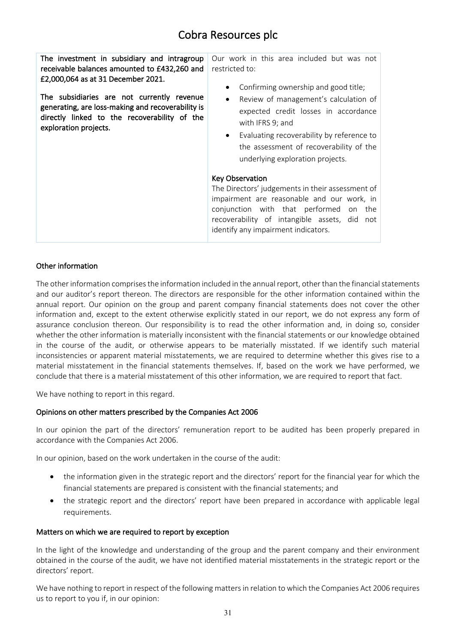The investment in subsidiary and intragroup receivable balances amounted to £432,260 and £2,000,064 as at 31 December 2021.

The subsidiaries are not currently revenue generating, are loss-making and recoverability is directly linked to the recoverability of the exploration projects.

Our work in this area included but was not restricted to:

- Confirming ownership and good title;
- Review of management's calculation of expected credit losses in accordance with IFRS 9; and
- Evaluating recoverability by reference to the assessment of recoverability of the underlying exploration projects.

#### Key Observation

The Directors' judgements in their assessment of impairment are reasonable and our work, in conjunction with that performed on the recoverability of intangible assets, did not identify any impairment indicators.

### Other information

The other information comprises the information included in the annual report, other than the financial statements and our auditor's report thereon. The directors are responsible for the other information contained within the annual report. Our opinion on the group and parent company financial statements does not cover the other information and, except to the extent otherwise explicitly stated in our report, we do not express any form of assurance conclusion thereon. Our responsibility is to read the other information and, in doing so, consider whether the other information is materially inconsistent with the financial statements or our knowledge obtained in the course of the audit, or otherwise appears to be materially misstated. If we identify such material inconsistencies or apparent material misstatements, we are required to determine whether this gives rise to a material misstatement in the financial statements themselves. If, based on the work we have performed, we conclude that there is a material misstatement of this other information, we are required to report that fact.

We have nothing to report in this regard.

#### Opinions on other matters prescribed by the Companies Act 2006

In our opinion the part of the directors' remuneration report to be audited has been properly prepared in accordance with the Companies Act 2006.

In our opinion, based on the work undertaken in the course of the audit:

- the information given in the strategic report and the directors' report for the financial year for which the financial statements are prepared is consistent with the financial statements; and
- the strategic report and the directors' report have been prepared in accordance with applicable legal requirements.

#### Matters on which we are required to report by exception

In the light of the knowledge and understanding of the group and the parent company and their environment obtained in the course of the audit, we have not identified material misstatements in the strategic report or the directors' report.

We have nothing to report in respect of the following matters in relation to which the Companies Act 2006 requires us to report to you if, in our opinion: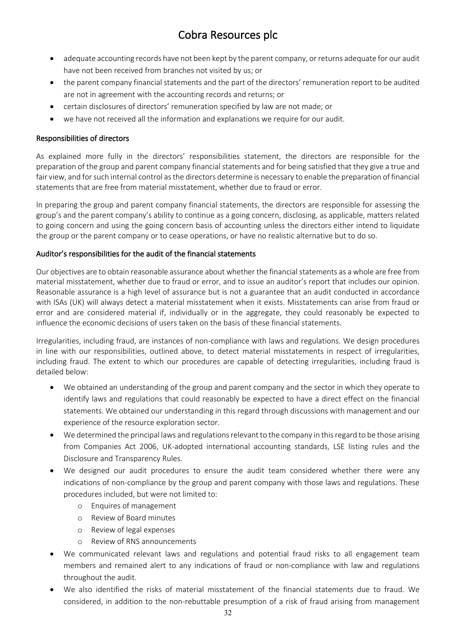- adequate accounting records have not been kept by the parent company, or returns adequate for our audit have not been received from branches not visited by us; or
- the parent company financial statements and the part of the directors' remuneration report to be audited are not in agreement with the accounting records and returns; or
- certain disclosures of directors' remuneration specified by law are not made; or
- we have not received all the information and explanations we require for our audit.

### Responsibilities of directors

As explained more fully in the directors' responsibilities statement, the directors are responsible for the preparation of the group and parent company financial statements and for being satisfied that they give a true and fair view, and for such internal control as the directors determine is necessary to enable the preparation of financial statements that are free from material misstatement, whether due to fraud or error.

In preparing the group and parent company financial statements, the directors are responsible for assessing the group's and the parent company's ability to continue as a going concern, disclosing, as applicable, matters related to going concern and using the going concern basis of accounting unless the directors either intend to liquidate the group or the parent company or to cease operations, or have no realistic alternative but to do so.

#### Auditor's responsibilities for the audit of the financial statements

Our objectives are to obtain reasonable assurance about whether the financial statements as a whole are free from material misstatement, whether due to fraud or error, and to issue an auditor's report that includes our opinion. Reasonable assurance is a high level of assurance but is not a guarantee that an audit conducted in accordance with ISAs (UK) will always detect a material misstatement when it exists. Misstatements can arise from fraud or error and are considered material if, individually or in the aggregate, they could reasonably be expected to influence the economic decisions of users taken on the basis of these financial statements.

Irregularities, including fraud, are instances of non-compliance with laws and regulations. We design procedures in line with our responsibilities, outlined above, to detect material misstatements in respect of irregularities, including fraud. The extent to which our procedures are capable of detecting irregularities, including fraud is detailed below:

- We obtained an understanding of the group and parent company and the sector in which they operate to identify laws and regulations that could reasonably be expected to have a direct effect on the financial statements. We obtained our understanding in this regard through discussions with management and our experience of the resource exploration sector.
- We determined the principal laws and regulations relevant to the company in this regard to be those arising from Companies Act 2006, UK-adopted international accounting standards, LSE listing rules and the Disclosure and Transparency Rules.
- We designed our audit procedures to ensure the audit team considered whether there were any indications of non-compliance by the group and parent company with those laws and regulations. These procedures included, but were not limited to:
	- o Enquires of management
	- o Review of Board minutes
	- o Review of legal expenses
	- o Review of RNS announcements
- We communicated relevant laws and regulations and potential fraud risks to all engagement team members and remained alert to any indications of fraud or non-compliance with law and regulations throughout the audit.
- We also identified the risks of material misstatement of the financial statements due to fraud. We considered, in addition to the non-rebuttable presumption of a risk of fraud arising from management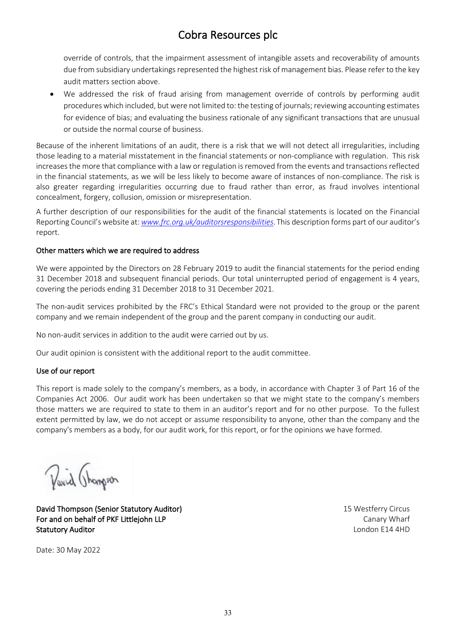override of controls, that the impairment assessment of intangible assets and recoverability of amounts due from subsidiary undertakings represented the highest risk of management bias. Please refer to the key audit matters section above.

• We addressed the risk of fraud arising from management override of controls by performing audit procedures which included, but were not limited to: the testing of journals; reviewing accounting estimates for evidence of bias; and evaluating the business rationale of any significant transactions that are unusual or outside the normal course of business.

Because of the inherent limitations of an audit, there is a risk that we will not detect all irregularities, including those leading to a material misstatement in the financial statements or non-compliance with regulation. This risk increases the more that compliance with a law or regulation is removed from the events and transactions reflected in the financial statements, as we will be less likely to become aware of instances of non-compliance. The risk is also greater regarding irregularities occurring due to fraud rather than error, as fraud involves intentional concealment, forgery, collusion, omission or misrepresentation.

A further description of our responsibilities for the audit of the financial statements is located on the Financial Reporting Council's website at: *www.frc.org.uk/auditorsresponsibilities*.This description forms part of our auditor's report.

#### Other matters which we are required to address

We were appointed by the Directors on 28 February 2019 to audit the financial statements for the period ending 31 December 2018 and subsequent financial periods. Our total uninterrupted period of engagement is 4 years, covering the periods ending 31 December 2018 to 31 December 2021.

The non-audit services prohibited by the FRC's Ethical Standard were not provided to the group or the parent company and we remain independent of the group and the parent company in conducting our audit.

No non-audit services in addition to the audit were carried out by us.

Our audit opinion is consistent with the additional report to the audit committee.

#### Use of our report

This report is made solely to the company's members, as a body, in accordance with Chapter 3 of Part 16 of the Companies Act 2006. Our audit work has been undertaken so that we might state to the company's members those matters we are required to state to them in an auditor's report and for no other purpose. To the fullest extent permitted by law, we do not accept or assume responsibility to anyone, other than the company and the company's members as a body, for our audit work, for this report, or for the opinions we have formed.

Varid Shanpoor

David Thompson (Senior Statutory Auditor) 15 Westferry Circus For and on behalf of PKF Littlejohn LLP Canary Wharf Canary Wharf Statutory Auditor **London E14 4HD** Statutory Auditor **London E14 4HD** 

Date: 30 May 2022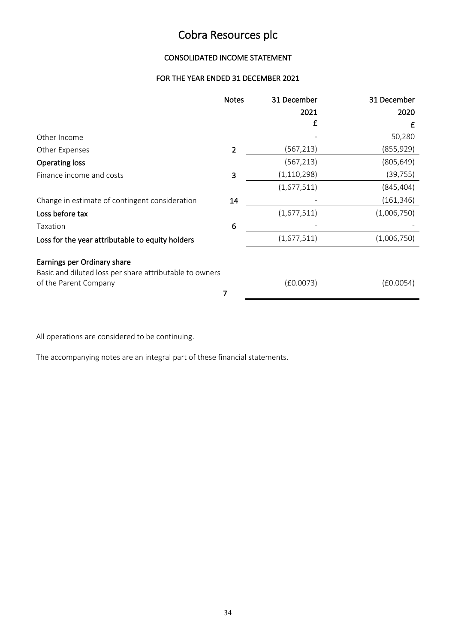## CONSOLIDATED INCOME STATEMENT

### FOR THE YEAR ENDED 31 DECEMBER 2021

|                                                                                        | <b>Notes</b>   | 31 December   | 31 December |
|----------------------------------------------------------------------------------------|----------------|---------------|-------------|
|                                                                                        |                | 2021          | 2020        |
|                                                                                        |                | £             | f           |
| Other Income                                                                           |                |               | 50,280      |
| Other Expenses                                                                         | $\overline{2}$ | (567, 213)    | (855, 929)  |
| <b>Operating loss</b>                                                                  |                | (567, 213)    | (805, 649)  |
| Finance income and costs                                                               | 3              | (1, 110, 298) | (39, 755)   |
|                                                                                        |                | (1,677,511)   | (845, 404)  |
| Change in estimate of contingent consideration                                         | 14             |               | (161, 346)  |
| Loss before tax                                                                        |                | (1,677,511)   | (1,006,750) |
| Taxation                                                                               | 6              |               |             |
| Loss for the year attributable to equity holders                                       |                | (1,677,511)   | (1,006,750) |
| Earnings per Ordinary share<br>Basic and diluted loss per share attributable to owners |                |               |             |
| of the Parent Company                                                                  | 7              | (£0.0073)     | (£0.0054)   |

All operations are considered to be continuing.

The accompanying notes are an integral part of these financial statements.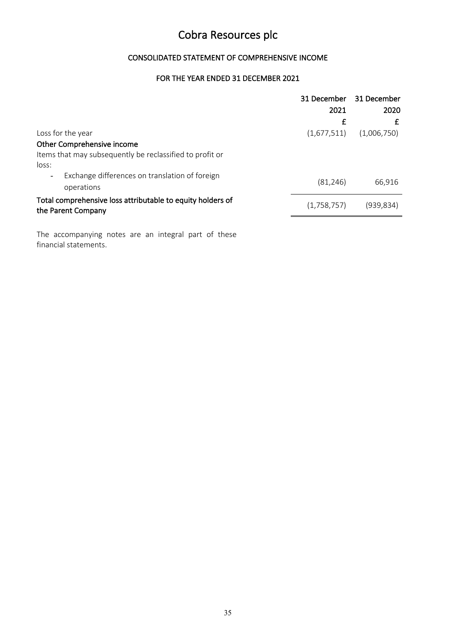## CONSOLIDATED STATEMENT OF COMPREHENSIVE INCOME

### FOR THE YEAR ENDED 31 DECEMBER 2021

|                                                                                                 | 31 December | 31 December |
|-------------------------------------------------------------------------------------------------|-------------|-------------|
|                                                                                                 | 2021        | 2020        |
|                                                                                                 | £           | £           |
| Loss for the year                                                                               | (1,677,511) | (1,006,750) |
| Other Comprehensive income<br>Items that may subsequently be reclassified to profit or<br>loss: |             |             |
| Exchange differences on translation of foreign<br>operations                                    | (81, 246)   | 66,916      |
| Total comprehensive loss attributable to equity holders of<br>the Parent Company                | (1,758,757) | (939,834)   |

The accompanying notes are an integral part of these financial statements.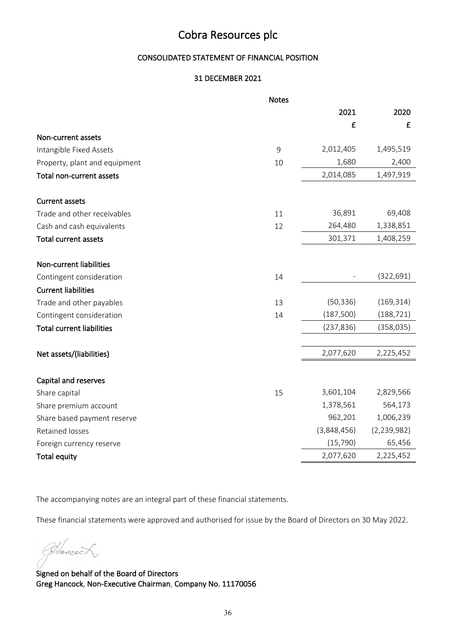### CONSOLIDATED STATEMENT OF FINANCIAL POSITION

### 31 DECEMBER 2021

|                                  | <b>Notes</b>   |             |               |
|----------------------------------|----------------|-------------|---------------|
|                                  |                | 2021        | 2020          |
|                                  |                | £           | £             |
| Non-current assets               |                |             |               |
| Intangible Fixed Assets          | $\overline{9}$ | 2,012,405   | 1,495,519     |
| Property, plant and equipment    | 10             | 1,680       | 2,400         |
| Total non-current assets         |                | 2,014,085   | 1,497,919     |
| <b>Current assets</b>            |                |             |               |
| Trade and other receivables      | 11             | 36,891      | 69,408        |
| Cash and cash equivalents        | 12             | 264,480     | 1,338,851     |
| Total current assets             |                | 301,371     | 1,408,259     |
| Non-current liabilities          |                |             |               |
| Contingent consideration         | 14             |             | (322, 691)    |
| <b>Current liabilities</b>       |                |             |               |
| Trade and other payables         | 13             | (50, 336)   | (169, 314)    |
| Contingent consideration         | 14             | (187, 500)  | (188, 721)    |
| <b>Total current liabilities</b> |                | (237, 836)  | (358, 035)    |
| Net assets/(liabilities)         |                | 2,077,620   | 2,225,452     |
|                                  |                |             |               |
| Capital and reserves             |                |             |               |
| Share capital                    | 15             | 3,601,104   | 2,829,566     |
| Share premium account            |                | 1,378,561   | 564,173       |
| Share based payment reserve      |                | 962,201     | 1,006,239     |
| Retained losses                  |                | (3,848,456) | (2, 239, 982) |
| Foreign currency reserve         |                | (15, 790)   | 65,456        |
| <b>Total equity</b>              |                | 2,077,620   | 2,225,452     |

The accompanying notes are an integral part of these financial statements.

These financial statements were approved and authorised for issue by the Board of Directors on 30 May 2022.

Hancoch

Signed on behalf of the Board of Directors Greg Hancock, Non-Executive Chairman, Company No. 11170056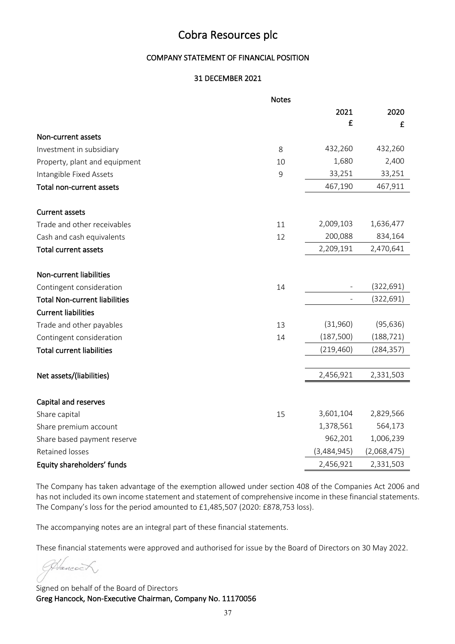### COMPANY STATEMENT OF FINANCIAL POSITION

#### 31 DECEMBER 2021

|                                      | <b>Notes</b> |             |             |
|--------------------------------------|--------------|-------------|-------------|
|                                      |              | 2021        | 2020        |
|                                      |              | £           | £           |
| Non-current assets                   |              |             |             |
| Investment in subsidiary             | 8            | 432,260     | 432,260     |
| Property, plant and equipment        | 10           | 1,680       | 2,400       |
| Intangible Fixed Assets              | 9            | 33,251      | 33,251      |
| Total non-current assets             |              | 467,190     | 467,911     |
| <b>Current assets</b>                |              |             |             |
| Trade and other receivables          | 11           | 2,009,103   | 1,636,477   |
| Cash and cash equivalents            | 12           | 200,088     | 834,164     |
| <b>Total current assets</b>          |              | 2,209,191   | 2,470,641   |
| Non-current liabilities              |              |             |             |
| Contingent consideration             | 14           |             | (322, 691)  |
| <b>Total Non-current liabilities</b> |              |             | (322, 691)  |
| <b>Current liabilities</b>           |              |             |             |
| Trade and other payables             | 13           | (31,960)    | (95, 636)   |
| Contingent consideration             | 14           | (187,500)   | (188, 721)  |
| <b>Total current liabilities</b>     |              | (219, 460)  | (284, 357)  |
|                                      |              |             |             |
| Net assets/(liabilities)             |              | 2,456,921   | 2,331,503   |
| Capital and reserves                 |              |             |             |
| Share capital                        | 15           | 3,601,104   | 2,829,566   |
| Share premium account                |              | 1,378,561   | 564,173     |
| Share based payment reserve          |              | 962,201     | 1,006,239   |
| Retained losses                      |              | (3,484,945) | (2,068,475) |
| Equity shareholders' funds           |              | 2,456,921   | 2,331,503   |

The Company has taken advantage of the exemption allowed under section 408 of the Companies Act 2006 and has not included its own income statement and statement of comprehensive income in these financial statements. The Company's loss for the period amounted to £1,485,507 (2020: £878,753 loss).

The accompanying notes are an integral part of these financial statements.

These financial statements were approved and authorised for issue by the Board of Directors on 30 May 2022.

Plancock

Signed on behalf of the Board of Directors Greg Hancock, Non-Executive Chairman, Company No. 11170056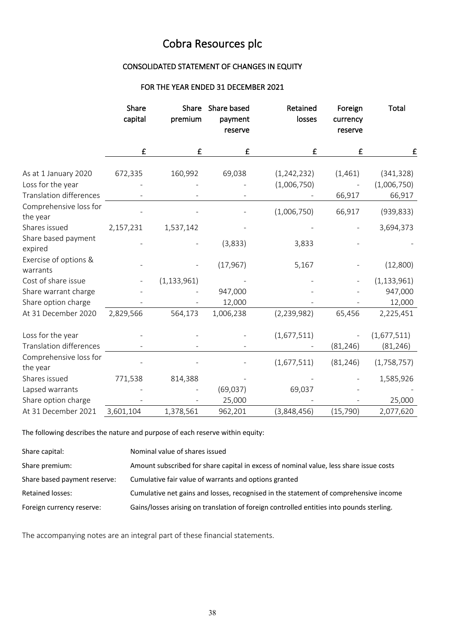## CONSOLIDATED STATEMENT OF CHANGES IN EQUITY

#### FOR THE YEAR ENDED 31 DECEMBER 2021

|                                    | Share<br>capital   | Share<br>premium | Share based<br>payment<br>reserve | Retained<br>losses | Foreign<br>currency<br>reserve | <b>Total</b>  |
|------------------------------------|--------------------|------------------|-----------------------------------|--------------------|--------------------------------|---------------|
|                                    | $\pmb{\mathsf{f}}$ | £                | £                                 | £                  | £                              | £             |
| As at 1 January 2020               | 672,335            | 160,992          | 69,038                            | (1, 242, 232)      | (1,461)                        | (341, 328)    |
| Loss for the year                  |                    |                  |                                   | (1,006,750)        |                                | (1,006,750)   |
| <b>Translation differences</b>     |                    |                  |                                   |                    | 66,917                         | 66,917        |
| Comprehensive loss for<br>the year |                    |                  |                                   | (1,006,750)        | 66,917                         | (939, 833)    |
| Shares issued                      | 2,157,231          | 1,537,142        |                                   |                    |                                | 3,694,373     |
| Share based payment<br>expired     |                    |                  | (3,833)                           | 3,833              |                                |               |
| Exercise of options &<br>warrants  |                    |                  | (17, 967)                         | 5,167              |                                | (12,800)      |
| Cost of share issue                |                    | (1, 133, 961)    |                                   |                    |                                | (1, 133, 961) |
| Share warrant charge               |                    |                  | 947,000                           |                    |                                | 947,000       |
| Share option charge                |                    |                  | 12,000                            |                    |                                | 12,000        |
| At 31 December 2020                | 2,829,566          | 564,173          | 1,006,238                         | (2, 239, 982)      | 65,456                         | 2,225,451     |
| Loss for the year                  |                    |                  |                                   | (1,677,511)        |                                | (1,677,511)   |
| <b>Translation differences</b>     |                    |                  |                                   |                    | (81, 246)                      | (81, 246)     |
| Comprehensive loss for<br>the year |                    |                  |                                   | (1,677,511)        | (81, 246)                      | (1,758,757)   |
| Shares issued                      | 771,538            | 814,388          |                                   |                    |                                | 1,585,926     |
| Lapsed warrants                    |                    |                  | (69, 037)                         | 69,037             |                                |               |
| Share option charge                |                    |                  | 25,000                            |                    |                                | 25,000        |
| At 31 December 2021                | 3,601,104          | 1,378,561        | 962,201                           | (3,848,456)        | (15, 790)                      | 2,077,620     |

The following describes the nature and purpose of each reserve within equity:

| Share capital:               | Nominal value of shares issued                                                           |
|------------------------------|------------------------------------------------------------------------------------------|
| Share premium:               | Amount subscribed for share capital in excess of nominal value, less share issue costs   |
| Share based payment reserve: | Cumulative fair value of warrants and options granted                                    |
| Retained losses:             | Cumulative net gains and losses, recognised in the statement of comprehensive income     |
| Foreign currency reserve:    | Gains/losses arising on translation of foreign controlled entities into pounds sterling. |

The accompanying notes are an integral part of these financial statements.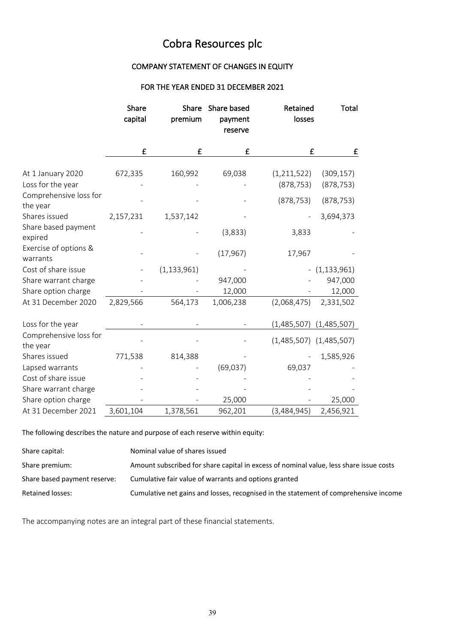### COMPANY STATEMENT OF CHANGES IN EQUITY

#### FOR THE YEAR ENDED 31 DECEMBER 2021

|                                        | Share<br>capital | Share<br>premium | Share based<br>payment<br>reserve | Retained<br>losses          | Total                    |
|----------------------------------------|------------------|------------------|-----------------------------------|-----------------------------|--------------------------|
|                                        | £                | £                | £                                 | £                           | £                        |
| At 1 January 2020<br>Loss for the year | 672,335          | 160,992          | 69,038                            | (1, 211, 522)<br>(878, 753) | (309, 157)<br>(878, 753) |
| Comprehensive loss for<br>the year     |                  |                  |                                   | (878, 753)                  | (878, 753)               |
| Shares issued                          | 2,157,231        | 1,537,142        |                                   |                             | 3,694,373                |
| Share based payment<br>expired         |                  |                  | (3,833)                           | 3,833                       |                          |
| Exercise of options &<br>warrants      |                  |                  | (17, 967)                         | 17,967                      |                          |
| Cost of share issue                    |                  | (1, 133, 961)    |                                   |                             | (1, 133, 961)            |
| Share warrant charge                   |                  |                  | 947,000                           |                             | 947,000                  |
| Share option charge                    |                  |                  | 12,000                            |                             | 12,000                   |
| At 31 December 2020                    | 2,829,566        | 564,173          | 1,006,238                         | (2,068,475)                 | 2,331,502                |
| Loss for the year                      |                  |                  |                                   | (1,485,507)                 | (1,485,507)              |
| Comprehensive loss for<br>the year     |                  |                  |                                   | $(1,485,507)$ $(1,485,507)$ |                          |
| Shares issued                          | 771,538          | 814,388          |                                   |                             | 1,585,926                |
| Lapsed warrants                        |                  |                  | (69, 037)                         | 69,037                      |                          |
| Cost of share issue                    |                  |                  |                                   |                             |                          |
| Share warrant charge                   |                  |                  |                                   |                             |                          |
| Share option charge                    |                  |                  | 25,000                            |                             | 25,000                   |
| At 31 December 2021                    | 3,601,104        | 1,378,561        | 962,201                           | (3,484,945)                 | 2,456,921                |

The following describes the nature and purpose of each reserve within equity:

| Share capital:               | Nominal value of shares issued                                                         |
|------------------------------|----------------------------------------------------------------------------------------|
| Share premium:               | Amount subscribed for share capital in excess of nominal value, less share issue costs |
| Share based payment reserve: | Cumulative fair value of warrants and options granted                                  |
| <b>Retained losses:</b>      | Cumulative net gains and losses, recognised in the statement of comprehensive income   |

The accompanying notes are an integral part of these financial statements.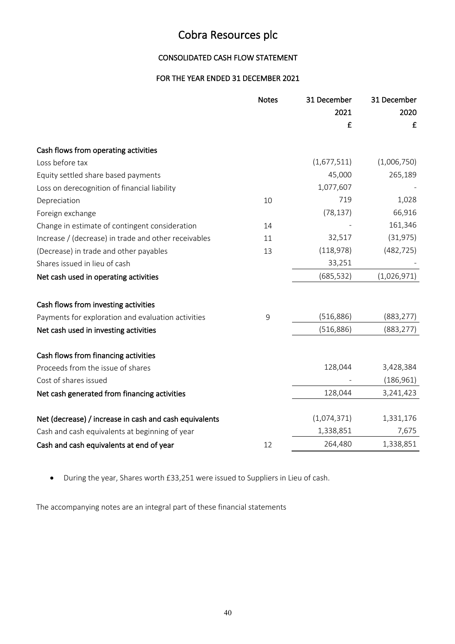# CONSOLIDATED CASH FLOW STATEMENT

## FOR THE YEAR ENDED 31 DECEMBER 2021

|                                                        | <b>Notes</b> | 31 December | 31 December |
|--------------------------------------------------------|--------------|-------------|-------------|
|                                                        |              | 2021        | 2020        |
|                                                        |              | £           | £           |
| Cash flows from operating activities                   |              |             |             |
| Loss before tax                                        |              | (1,677,511) | (1,006,750) |
| Equity settled share based payments                    |              | 45,000      | 265,189     |
| Loss on derecognition of financial liability           |              | 1,077,607   |             |
| Depreciation                                           | 10           | 719         | 1,028       |
| Foreign exchange                                       |              | (78, 137)   | 66,916      |
| Change in estimate of contingent consideration         | 14           |             | 161,346     |
| Increase / (decrease) in trade and other receivables   | 11           | 32,517      | (31, 975)   |
| (Decrease) in trade and other payables                 | 13           | (118,978)   | (482, 725)  |
| Shares issued in lieu of cash                          |              | 33,251      |             |
| Net cash used in operating activities                  |              | (685, 532)  | (1,026,971) |
| Cash flows from investing activities                   |              |             |             |
| Payments for exploration and evaluation activities     | $\mathsf 9$  | (516, 886)  | (883, 277)  |
| Net cash used in investing activities                  |              | (516, 886)  | (883, 277)  |
| Cash flows from financing activities                   |              |             |             |
| Proceeds from the issue of shares                      |              | 128,044     | 3,428,384   |
| Cost of shares issued                                  |              |             | (186, 961)  |
| Net cash generated from financing activities           |              | 128,044     | 3,241,423   |
| Net (decrease) / increase in cash and cash equivalents |              | (1,074,371) | 1,331,176   |
| Cash and cash equivalents at beginning of year         |              | 1,338,851   | 7,675       |
| Cash and cash equivalents at end of year               | 12           | 264,480     | 1,338,851   |

• During the year, Shares worth £33,251 were issued to Suppliers in Lieu of cash.

The accompanying notes are an integral part of these financial statements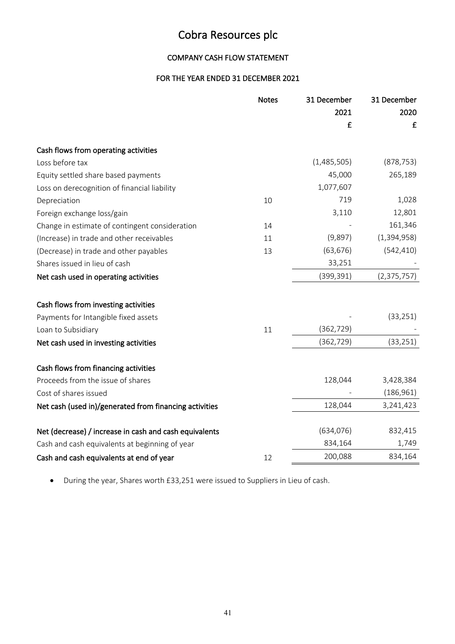## COMPANY CASH FLOW STATEMENT

### FOR THE YEAR ENDED 31 DECEMBER 2021

|                                                        | <b>Notes</b> | 31 December | 31 December   |
|--------------------------------------------------------|--------------|-------------|---------------|
|                                                        |              | 2021        | 2020          |
|                                                        |              | £           | £             |
| Cash flows from operating activities                   |              |             |               |
| Loss before tax                                        |              | (1,485,505) | (878, 753)    |
| Equity settled share based payments                    |              | 45,000      | 265,189       |
| Loss on derecognition of financial liability           |              | 1,077,607   |               |
| Depreciation                                           | 10           | 719         | 1,028         |
| Foreign exchange loss/gain                             |              | 3,110       | 12,801        |
| Change in estimate of contingent consideration         | 14           |             | 161,346       |
| (Increase) in trade and other receivables              | 11           | (9,897)     | (1, 394, 958) |
| (Decrease) in trade and other payables                 | 13           | (63, 676)   | (542, 410)    |
| Shares issued in lieu of cash                          |              | 33,251      |               |
| Net cash used in operating activities                  |              | (399, 391)  | (2, 375, 757) |
| Cash flows from investing activities                   |              |             |               |
| Payments for Intangible fixed assets                   |              |             | (33, 251)     |
| Loan to Subsidiary                                     | 11           | (362, 729)  |               |
| Net cash used in investing activities                  |              | (362, 729)  | (33, 251)     |
| Cash flows from financing activities                   |              |             |               |
| Proceeds from the issue of shares                      |              | 128,044     | 3,428,384     |
| Cost of shares issued                                  |              |             | (186, 961)    |
| Net cash (used in)/generated from financing activities |              | 128,044     | 3,241,423     |
| Net (decrease) / increase in cash and cash equivalents |              | (634, 076)  | 832,415       |
| Cash and cash equivalents at beginning of year         |              | 834,164     | 1,749         |
| Cash and cash equivalents at end of year               | 12           | 200,088     | 834,164       |

• During the year, Shares worth £33,251 were issued to Suppliers in Lieu of cash.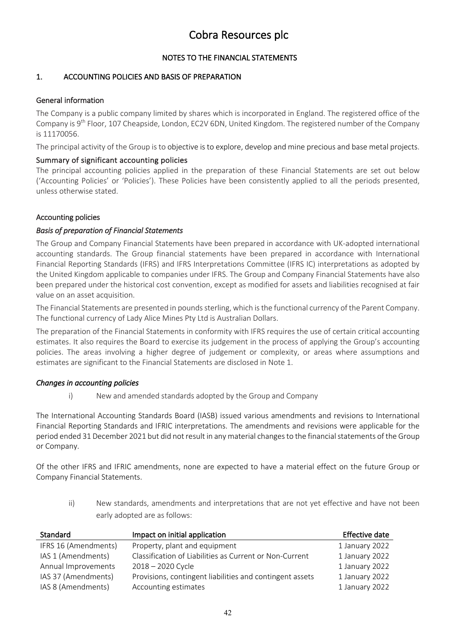### NOTES TO THE FINANCIAL STATEMENTS

### 1. ACCOUNTING POLICIES AND BASIS OF PREPARATION

### General information

The Company is a public company limited by shares which is incorporated in England. The registered office of the Company is 9th Floor, 107 Cheapside, London, EC2V 6DN, United Kingdom. The registered number of the Company is 11170056.

The principal activity of the Group is to objective is to explore, develop and mine precious and base metal projects.

#### Summary of significant accounting policies

The principal accounting policies applied in the preparation of these Financial Statements are set out below ('Accounting Policies' or 'Policies'). These Policies have been consistently applied to all the periods presented, unless otherwise stated.

### Accounting policies

#### *Basis of preparation of Financial Statements*

The Group and Company Financial Statements have been prepared in accordance with UK-adopted international accounting standards. The Group financial statements have been prepared in accordance with International Financial Reporting Standards (IFRS) and IFRS Interpretations Committee (IFRS IC) interpretations as adopted by the United Kingdom applicable to companies under IFRS. The Group and Company Financial Statements have also been prepared under the historical cost convention, except as modified for assets and liabilities recognised at fair value on an asset acquisition.

The Financial Statements are presented in pounds sterling, which is the functional currency of the Parent Company. The functional currency of Lady Alice Mines Pty Ltd is Australian Dollars.

The preparation of the Financial Statements in conformity with IFRS requires the use of certain critical accounting estimates. It also requires the Board to exercise its judgement in the process of applying the Group's accounting policies. The areas involving a higher degree of judgement or complexity, or areas where assumptions and estimates are significant to the Financial Statements are disclosed in Note 1.

### *Changes in accounting policies*

i) New and amended standards adopted by the Group and Company

The International Accounting Standards Board (IASB) issued various amendments and revisions to International Financial Reporting Standards and IFRIC interpretations. The amendments and revisions were applicable for the period ended 31 December 2021 but did not result in any material changes to the financial statements of the Group or Company.

Of the other IFRS and IFRIC amendments, none are expected to have a material effect on the future Group or Company Financial Statements.

ii) New standards, amendments and interpretations that are not yet effective and have not been early adopted are as follows:

| Standard             | Impact on initial application                            | <b>Effective date</b> |
|----------------------|----------------------------------------------------------|-----------------------|
| IFRS 16 (Amendments) | Property, plant and equipment                            | 1 January 2022        |
| IAS 1 (Amendments)   | Classification of Liabilities as Current or Non-Current  | 1 January 2022        |
| Annual Improvements  | $2018 - 2020$ Cycle                                      | 1 January 2022        |
| IAS 37 (Amendments)  | Provisions, contingent liabilities and contingent assets | 1 January 2022        |
| IAS 8 (Amendments)   | Accounting estimates                                     | 1 January 2022        |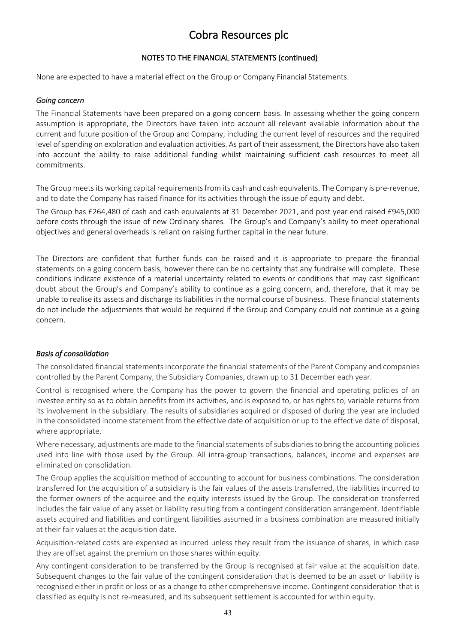## NOTES TO THE FINANCIAL STATEMENTS (continued)

None are expected to have a material effect on the Group or Company Financial Statements.

#### *Going concern*

The Financial Statements have been prepared on a going concern basis. In assessing whether the going concern assumption is appropriate, the Directors have taken into account all relevant available information about the current and future position of the Group and Company, including the current level of resources and the required level of spending on exploration and evaluation activities. As part of their assessment, the Directors have also taken into account the ability to raise additional funding whilst maintaining sufficient cash resources to meet all commitments.

The Group meets its working capital requirements from its cash and cash equivalents. The Company is pre-revenue, and to date the Company has raised finance for its activities through the issue of equity and debt.

The Group has £264,480 of cash and cash equivalents at 31 December 2021, and post year end raised £945,000 before costs through the issue of new Ordinary shares. The Group's and Company's ability to meet operational objectives and general overheads is reliant on raising further capital in the near future.

The Directors are confident that further funds can be raised and it is appropriate to prepare the financial statements on a going concern basis, however there can be no certainty that any fundraise will complete. These conditions indicate existence of a material uncertainty related to events or conditions that may cast significant doubt about the Group's and Company's ability to continue as a going concern, and, therefore, that it may be unable to realise its assets and discharge its liabilities in the normal course of business. These financial statements do not include the adjustments that would be required if the Group and Company could not continue as a going concern.

### *Basis of consolidation*

The consolidated financial statements incorporate the financial statements of the Parent Company and companies controlled by the Parent Company, the Subsidiary Companies, drawn up to 31 December each year.

Control is recognised where the Company has the power to govern the financial and operating policies of an investee entity so as to obtain benefits from its activities, and is exposed to, or has rights to, variable returns from its involvement in the subsidiary. The results of subsidiaries acquired or disposed of during the year are included in the consolidated income statement from the effective date of acquisition or up to the effective date of disposal, where appropriate.

Where necessary, adjustments are made to the financial statements of subsidiaries to bring the accounting policies used into line with those used by the Group. All intra-group transactions, balances, income and expenses are eliminated on consolidation.

The Group applies the acquisition method of accounting to account for business combinations. The consideration transferred for the acquisition of a subsidiary is the fair values of the assets transferred, the liabilities incurred to the former owners of the acquiree and the equity interests issued by the Group. The consideration transferred includes the fair value of any asset or liability resulting from a contingent consideration arrangement. Identifiable assets acquired and liabilities and contingent liabilities assumed in a business combination are measured initially at their fair values at the acquisition date.

Acquisition-related costs are expensed as incurred unless they result from the issuance of shares, in which case they are offset against the premium on those shares within equity.

Any contingent consideration to be transferred by the Group is recognised at fair value at the acquisition date. Subsequent changes to the fair value of the contingent consideration that is deemed to be an asset or liability is recognised either in profit or loss or as a change to other comprehensive income. Contingent consideration that is classified as equity is not re-measured, and its subsequent settlement is accounted for within equity.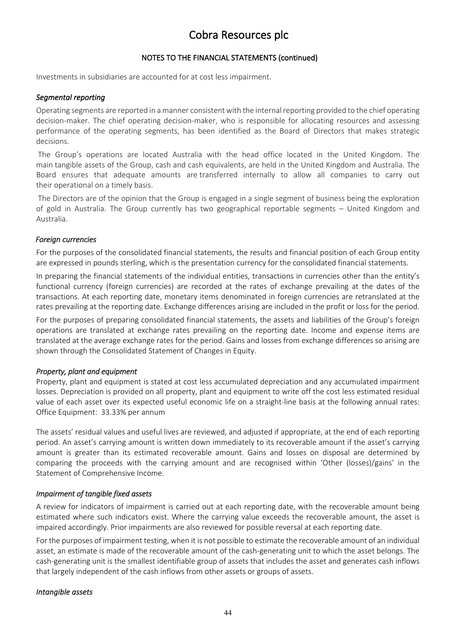### NOTES TO THE FINANCIAL STATEMENTS (continued)

Investments in subsidiaries are accounted for at cost less impairment.

#### *Segmental reporting*

Operating segments are reported in a manner consistent with the internal reporting provided to the chief operating decision-maker. The chief operating decision-maker, who is responsible for allocating resources and assessing performance of the operating segments, has been identified as the Board of Directors that makes strategic decisions.

The Group's operations are located Australia with the head office located in the United Kingdom. The main tangible assets of the Group, cash and cash equivalents, are held in the United Kingdom and Australia. The Board ensures that adequate amounts are transferred internally to allow all companies to carry out their operational on a timely basis.

The Directors are of the opinion that the Group is engaged in a single segment of business being the exploration of gold in Australia. The Group currently has two geographical reportable segments – United Kingdom and Australia.

#### *Foreign currencies*

For the purposes of the consolidated financial statements, the results and financial position of each Group entity are expressed in pounds sterling, which is the presentation currency for the consolidated financial statements.

In preparing the financial statements of the individual entities, transactions in currencies other than the entity's functional currency (foreign currencies) are recorded at the rates of exchange prevailing at the dates of the transactions. At each reporting date, monetary items denominated in foreign currencies are retranslated at the rates prevailing at the reporting date. Exchange differences arising are included in the profit or loss for the period.

For the purposes of preparing consolidated financial statements, the assets and liabilities of the Group's foreign operations are translated at exchange rates prevailing on the reporting date. Income and expense items are translated at the average exchange rates for the period. Gains and losses from exchange differences so arising are shown through the Consolidated Statement of Changes in Equity.

#### *Property, plant and equipment*

Property, plant and equipment is stated at cost less accumulated depreciation and any accumulated impairment losses. Depreciation is provided on all property, plant and equipment to write off the cost less estimated residual value of each asset over its expected useful economic life on a straight-line basis at the following annual rates: Office Equipment: 33.33% per annum

The assets' residual values and useful lives are reviewed, and adjusted if appropriate, at the end of each reporting period. An asset's carrying amount is written down immediately to its recoverable amount if the asset's carrying amount is greater than its estimated recoverable amount. Gains and losses on disposal are determined by comparing the proceeds with the carrying amount and are recognised within 'Other (losses)/gains' in the Statement of Comprehensive Income.

#### *Impairment of tangible fixed assets*

A review for indicators of impairment is carried out at each reporting date, with the recoverable amount being estimated where such indicators exist. Where the carrying value exceeds the recoverable amount, the asset is impaired accordingly. Prior impairments are also reviewed for possible reversal at each reporting date.

For the purposes of impairment testing, when it is not possible to estimate the recoverable amount of an individual asset, an estimate is made of the recoverable amount of the cash-generating unit to which the asset belongs. The cash-generating unit is the smallest identifiable group of assets that includes the asset and generates cash inflows that largely independent of the cash inflows from other assets or groups of assets.

### *Intangible assets*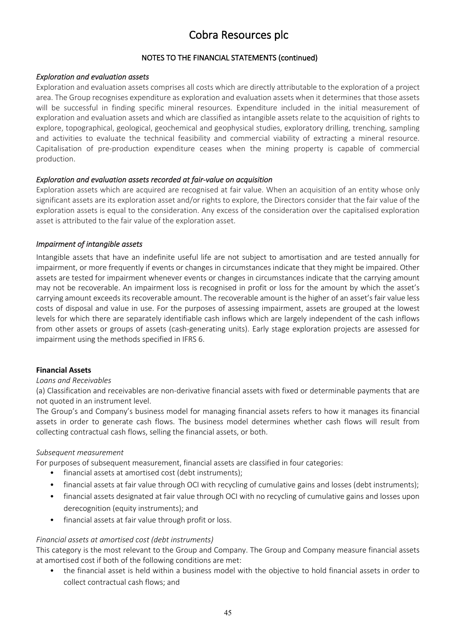### NOTES TO THE FINANCIAL STATEMENTS (continued)

#### *Exploration and evaluation assets*

Exploration and evaluation assets comprises all costs which are directly attributable to the exploration of a project area. The Group recognises expenditure as exploration and evaluation assets when it determines that those assets will be successful in finding specific mineral resources. Expenditure included in the initial measurement of exploration and evaluation assets and which are classified as intangible assets relate to the acquisition of rights to explore, topographical, geological, geochemical and geophysical studies, exploratory drilling, trenching, sampling and activities to evaluate the technical feasibility and commercial viability of extracting a mineral resource. Capitalisation of pre-production expenditure ceases when the mining property is capable of commercial production.

#### *Exploration and evaluation assets recorded at fair-value on acquisition*

Exploration assets which are acquired are recognised at fair value. When an acquisition of an entity whose only significant assets are its exploration asset and/or rights to explore, the Directors consider that the fair value of the exploration assets is equal to the consideration. Any excess of the consideration over the capitalised exploration asset is attributed to the fair value of the exploration asset.

#### *Impairment of intangible assets*

Intangible assets that have an indefinite useful life are not subject to amortisation and are tested annually for impairment, or more frequently if events or changes in circumstances indicate that they might be impaired. Other assets are tested for impairment whenever events or changes in circumstances indicate that the carrying amount may not be recoverable. An impairment loss is recognised in profit or loss for the amount by which the asset's carrying amount exceeds its recoverable amount. The recoverable amount is the higher of an asset's fair value less costs of disposal and value in use. For the purposes of assessing impairment, assets are grouped at the lowest levels for which there are separately identifiable cash inflows which are largely independent of the cash inflows from other assets or groups of assets (cash-generating units). Early stage exploration projects are assessed for impairment using the methods specified in IFRS 6.

### **Financial Assets**

#### *Loans and Receivables*

(a) Classification and receivables are non-derivative financial assets with fixed or determinable payments that are not quoted in an instrument level.

The Group's and Company's business model for managing financial assets refers to how it manages its financial assets in order to generate cash flows. The business model determines whether cash flows will result from collecting contractual cash flows, selling the financial assets, or both.

#### *Subsequent measurement*

For purposes of subsequent measurement, financial assets are classified in four categories:

- financial assets at amortised cost (debt instruments);
- financial assets at fair value through OCI with recycling of cumulative gains and losses (debt instruments);
- financial assets designated at fair value through OCI with no recycling of cumulative gains and losses upon derecognition (equity instruments); and
- financial assets at fair value through profit or loss.

#### *Financial assets at amortised cost (debt instruments)*

This category is the most relevant to the Group and Company. The Group and Company measure financial assets at amortised cost if both of the following conditions are met:

• the financial asset is held within a business model with the objective to hold financial assets in order to collect contractual cash flows; and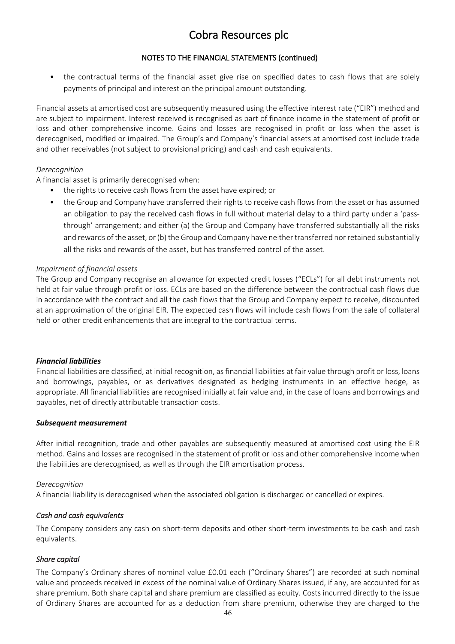## NOTES TO THE FINANCIAL STATEMENTS (continued)

• the contractual terms of the financial asset give rise on specified dates to cash flows that are solely payments of principal and interest on the principal amount outstanding.

Financial assets at amortised cost are subsequently measured using the effective interest rate ("EIR") method and are subject to impairment. Interest received is recognised as part of finance income in the statement of profit or loss and other comprehensive income. Gains and losses are recognised in profit or loss when the asset is derecognised, modified or impaired. The Group's and Company's financial assets at amortised cost include trade and other receivables (not subject to provisional pricing) and cash and cash equivalents.

#### *Derecognition*

A financial asset is primarily derecognised when:

- the rights to receive cash flows from the asset have expired; or
- the Group and Company have transferred their rights to receive cash flows from the asset or has assumed an obligation to pay the received cash flows in full without material delay to a third party under a 'passthrough' arrangement; and either (a) the Group and Company have transferred substantially all the risks and rewards of the asset, or (b) the Group and Company have neither transferred nor retained substantially all the risks and rewards of the asset, but has transferred control of the asset.

#### *Impairment of financial assets*

The Group and Company recognise an allowance for expected credit losses ("ECLs") for all debt instruments not held at fair value through profit or loss. ECLs are based on the difference between the contractual cash flows due in accordance with the contract and all the cash flows that the Group and Company expect to receive, discounted at an approximation of the original EIR. The expected cash flows will include cash flows from the sale of collateral held or other credit enhancements that are integral to the contractual terms.

#### *Financial liabilities*

Financial liabilities are classified, at initial recognition, as financial liabilities at fair value through profit or loss, loans and borrowings, payables, or as derivatives designated as hedging instruments in an effective hedge, as appropriate. All financial liabilities are recognised initially at fair value and, in the case of loans and borrowings and payables, net of directly attributable transaction costs.

#### *Subsequent measurement*

After initial recognition, trade and other payables are subsequently measured at amortised cost using the EIR method. Gains and losses are recognised in the statement of profit or loss and other comprehensive income when the liabilities are derecognised, as well as through the EIR amortisation process.

#### *Derecognition*

A financial liability is derecognised when the associated obligation is discharged or cancelled or expires.

### *Cash and cash equivalents*

The Company considers any cash on short-term deposits and other short-term investments to be cash and cash equivalents.

### *Share capital*

The Company's Ordinary shares of nominal value £0.01 each ("Ordinary Shares") are recorded at such nominal value and proceeds received in excess of the nominal value of Ordinary Shares issued, if any, are accounted for as share premium. Both share capital and share premium are classified as equity. Costs incurred directly to the issue of Ordinary Shares are accounted for as a deduction from share premium, otherwise they are charged to the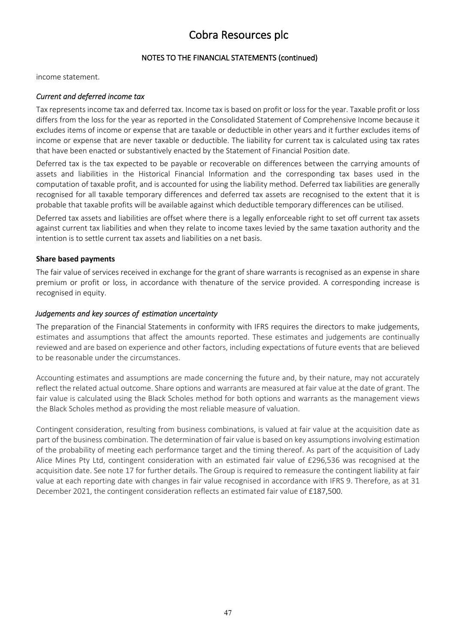### NOTES TO THE FINANCIAL STATEMENTS (continued)

income statement.

#### *Current and deferred income tax*

Tax represents income tax and deferred tax. Income tax is based on profit or loss for the year. Taxable profit or loss differs from the loss for the year as reported in the Consolidated Statement of Comprehensive Income because it excludes items of income or expense that are taxable or deductible in other years and it further excludes items of income or expense that are never taxable or deductible. The liability for current tax is calculated using tax rates that have been enacted or substantively enacted by the Statement of Financial Position date.

Deferred tax is the tax expected to be payable or recoverable on differences between the carrying amounts of assets and liabilities in the Historical Financial Information and the corresponding tax bases used in the computation of taxable profit, and is accounted for using the liability method. Deferred tax liabilities are generally recognised for all taxable temporary differences and deferred tax assets are recognised to the extent that it is probable that taxable profits will be available against which deductible temporary differences can be utilised.

Deferred tax assets and liabilities are offset where there is a legally enforceable right to set off current tax assets against current tax liabilities and when they relate to income taxes levied by the same taxation authority and the intention is to settle current tax assets and liabilities on a net basis.

#### **Share based payments**

The fair value of services received in exchange for the grant of share warrants is recognised as an expense in share premium or profit or loss, in accordance with thenature of the service provided. A corresponding increase is recognised in equity.

#### *Judgements and key sources of estimation uncertainty*

The preparation of the Financial Statements in conformity with IFRS requires the directors to make judgements, estimates and assumptions that affect the amounts reported. These estimates and judgements are continually reviewed and are based on experience and other factors, including expectations of future events that are believed to be reasonable under the circumstances.

Accounting estimates and assumptions are made concerning the future and, by their nature, may not accurately reflect the related actual outcome. Share options and warrants are measured at fair value at the date of grant. The fair value is calculated using the Black Scholes method for both options and warrants as the management views the Black Scholes method as providing the most reliable measure of valuation.

Contingent consideration, resulting from business combinations, is valued at fair value at the acquisition date as part of the business combination. The determination of fair value is based on key assumptions involving estimation of the probability of meeting each performance target and the timing thereof. As part of the acquisition of Lady Alice Mines Pty Ltd, contingent consideration with an estimated fair value of £296,536 was recognised at the acquisition date. See note 17 for further details. The Group is required to remeasure the contingent liability at fair value at each reporting date with changes in fair value recognised in accordance with IFRS 9. Therefore, as at 31 December 2021, the contingent consideration reflects an estimated fair value of £187,500.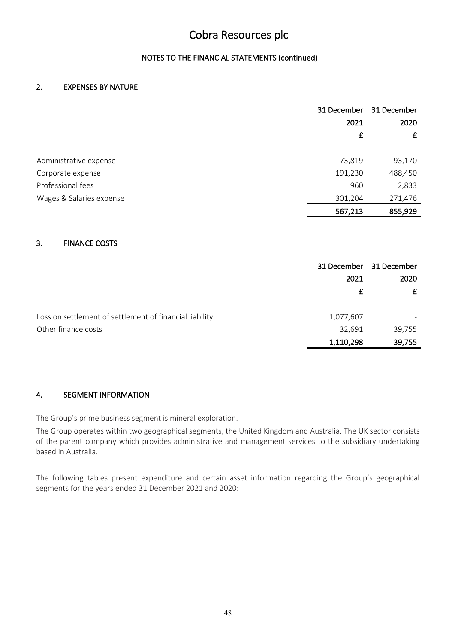### NOTES TO THE FINANCIAL STATEMENTS (continued)

### 2. EXPENSES BY NATURE

|                          | 31 December | 31 December |
|--------------------------|-------------|-------------|
|                          | 2021        | 2020        |
|                          | £           | £           |
|                          |             |             |
| Administrative expense   | 73,819      | 93,170      |
| Corporate expense        | 191,230     | 488,450     |
| Professional fees        | 960         | 2,833       |
| Wages & Salaries expense | 301,204     | 271,476     |
|                          | 567,213     | 855,929     |

#### 3. FINANCE COSTS

|                                                         |           | 31 December 31 December |
|---------------------------------------------------------|-----------|-------------------------|
|                                                         | 2021      | 2020                    |
|                                                         | £         | £                       |
| Loss on settlement of settlement of financial liability | 1,077,607 |                         |
| Other finance costs                                     | 32.691    | 39,755                  |
|                                                         | 1,110,298 | 39,755                  |

#### 4. SEGMENT INFORMATION

The Group's prime business segment is mineral exploration.

The Group operates within two geographical segments, the United Kingdom and Australia. The UK sector consists of the parent company which provides administrative and management services to the subsidiary undertaking based in Australia.

The following tables present expenditure and certain asset information regarding the Group's geographical segments for the years ended 31 December 2021 and 2020: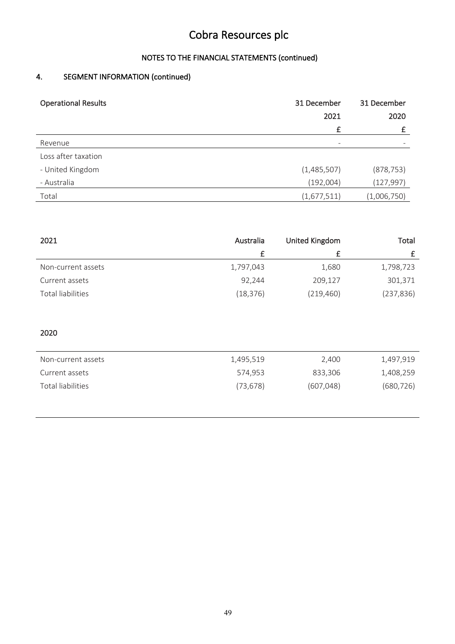## NOTES TO THE FINANCIAL STATEMENTS (continued)

# 4. SEGMENT INFORMATION (continued)

| <b>Operational Results</b> | 31 December | 31 December |
|----------------------------|-------------|-------------|
|                            | 2021        | 2020        |
|                            | £           |             |
| Revenue                    | -           |             |
| Loss after taxation        |             |             |
| - United Kingdom           | (1,485,507) | (878, 753)  |
| - Australia                | (192,004)   | (127, 997)  |
| Total                      | (1,677,511) | (1,006,750) |

| 2021               | Australia | United Kingdom | Total      |
|--------------------|-----------|----------------|------------|
|                    |           |                | £          |
| Non-current assets | 1,797,043 | 1,680          | 1,798,723  |
| Current assets     | 92,244    | 209,127        | 301,371    |
| Total liabilities  | (18, 376) | (219, 460)     | (237, 836) |

## 2020

| Non-current assets | 1,495,519 | 2.400      | 1,497,919  |
|--------------------|-----------|------------|------------|
| Current assets     | 574.953   | 833,306    | 1,408,259  |
| Total liabilities  | (73, 678) | (607, 048) | (680, 726) |
|                    |           |            |            |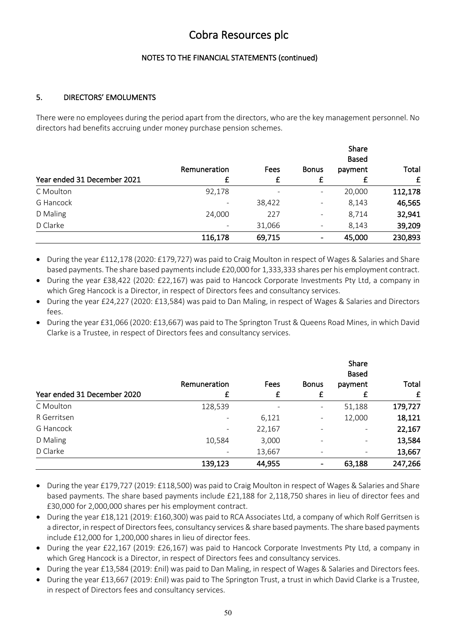### NOTES TO THE FINANCIAL STATEMENTS (continued)

### 5. DIRECTORS' EMOLUMENTS

There were no employees during the period apart from the directors, who are the key management personnel. No directors had benefits accruing under money purchase pension schemes.

|                             |                              |        |                          | Share<br><b>Based</b> |         |
|-----------------------------|------------------------------|--------|--------------------------|-----------------------|---------|
|                             | Remuneration                 | Fees   | <b>Bonus</b>             | payment               | Total   |
| Year ended 31 December 2021 | £                            | £      | £                        | £                     | £       |
| C Moulton                   | 92,178                       |        | $\overline{\phantom{a}}$ | 20,000                | 112,178 |
| G Hancock                   | $\qquad \qquad \blacksquare$ | 38,422 | -                        | 8,143                 | 46,565  |
| D Maling                    | 24,000                       | 227    | $\overline{\phantom{a}}$ | 8,714                 | 32,941  |
| D Clarke                    |                              | 31,066 | $\qquad \qquad -$        | 8,143                 | 39,209  |
|                             | 116,178                      | 69,715 | $\hbox{--}$              | 45,000                | 230,893 |

• During the year £112,178 (2020: £179,727) was paid to Craig Moulton in respect of Wages & Salaries and Share based payments. The share based payments include £20,000 for 1,333,333 shares per his employment contract.

• During the year £38,422 (2020: £22,167) was paid to Hancock Corporate Investments Pty Ltd, a company in which Greg Hancock is a Director, in respect of Directors fees and consultancy services.

- During the year £24,227 (2020: £13,584) was paid to Dan Maling, in respect of Wages & Salaries and Directors fees.
- During the year £31,066 (2020: £13,667) was paid to The Springton Trust & Queens Road Mines, in which David Clarke is a Trustee, in respect of Directors fees and consultancy services.

|                             |              |        |                          | Share<br><b>Based</b> |         |
|-----------------------------|--------------|--------|--------------------------|-----------------------|---------|
|                             | Remuneration | Fees   | <b>Bonus</b>             | payment               | Total   |
| Year ended 31 December 2020 | £            | £      | £                        | £                     | £       |
| C Moulton                   | 128,539      |        | $\overline{\phantom{a}}$ | 51,188                | 179,727 |
| R Gerritsen                 |              | 6,121  | -                        | 12,000                | 18,121  |
| G Hancock                   |              | 22,167 |                          |                       | 22,167  |
| D Maling                    | 10,584       | 3,000  |                          | ۰.                    | 13,584  |
| D Clarke                    |              | 13,667 | -                        |                       | 13,667  |
|                             | 139,123      | 44,955 |                          | 63,188                | 247,266 |

- During the year £179,727 (2019: £118,500) was paid to Craig Moulton in respect of Wages & Salaries and Share based payments. The share based payments include £21,188 for 2,118,750 shares in lieu of director fees and £30,000 for 2,000,000 shares per his employment contract.
- During the year £18,121 (2019: £160,300) was paid to RCA Associates Ltd, a company of which Rolf Gerritsen is a director, in respect of Directors fees, consultancy services & share based payments. The share based payments include £12,000 for 1,200,000 shares in lieu of director fees.
- During the year £22,167 (2019: £26,167) was paid to Hancock Corporate Investments Pty Ltd, a company in which Greg Hancock is a Director, in respect of Directors fees and consultancy services.
- During the year £13,584 (2019: £nil) was paid to Dan Maling, in respect of Wages & Salaries and Directors fees.
- During the year £13,667 (2019: £nil) was paid to The Springton Trust, a trust in which David Clarke is a Trustee, in respect of Directors fees and consultancy services.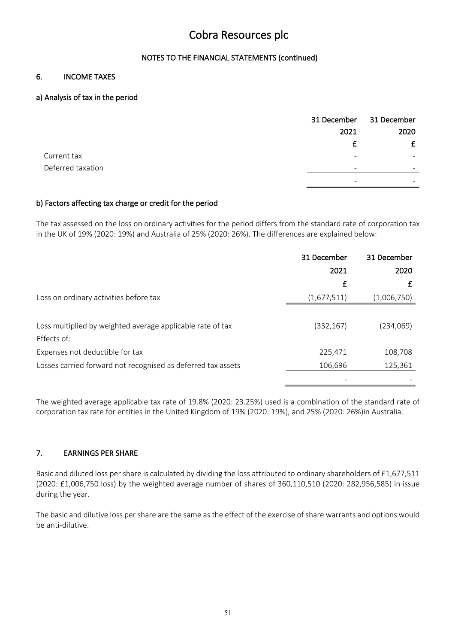### NOTES TO THE FINANCIAL STATEMENTS (continued)

### 6. INCOME TAXES

#### a) Analysis of tax in the period

|                   | 31 December              | 31 December              |
|-------------------|--------------------------|--------------------------|
|                   | 2021                     | 2020                     |
|                   |                          |                          |
| Current tax       | $\overline{\phantom{0}}$ |                          |
| Deferred taxation | $\overline{\phantom{0}}$ | $\overline{\phantom{0}}$ |
|                   |                          |                          |

#### b) Factors affecting tax charge or credit for the period

The tax assessed on the loss on ordinary activities for the period differs from the standard rate of corporation tax in the UK of 19% (2020: 19%) and Australia of 25% (2020: 26%). The differences are explained below:

|                                                              | 31 December | 31 December |
|--------------------------------------------------------------|-------------|-------------|
|                                                              | 2021        | 2020        |
|                                                              | £           | £           |
| Loss on ordinary activities before tax                       | (1,677,511) | (1,006,750) |
|                                                              |             |             |
| Loss multiplied by weighted average applicable rate of tax   | (332, 167)  | (234,069)   |
| Effects of:                                                  |             |             |
| Expenses not deductible for tax                              | 225,471     | 108,708     |
| Losses carried forward not recognised as deferred tax assets | 106,696     | 125,361     |
|                                                              |             |             |

The weighted average applicable tax rate of 19.8% (2020: 23.25%) used is a combination of the standard rate of corporation tax rate for entities in the United Kingdom of 19% (2020: 19%), and 25% (2020: 26%)in Australia.

### 7. EARNINGS PER SHARE

Basic and diluted loss per share is calculated by dividing the loss attributed to ordinary shareholders of £1,677,511 (2020: £1,006,750 loss) by the weighted average number of shares of 360,110,510 (2020: 282,956,585) in issue during the year.

The basic and dilutive loss per share are the same as the effect of the exercise of share warrants and options would be anti-dilutive.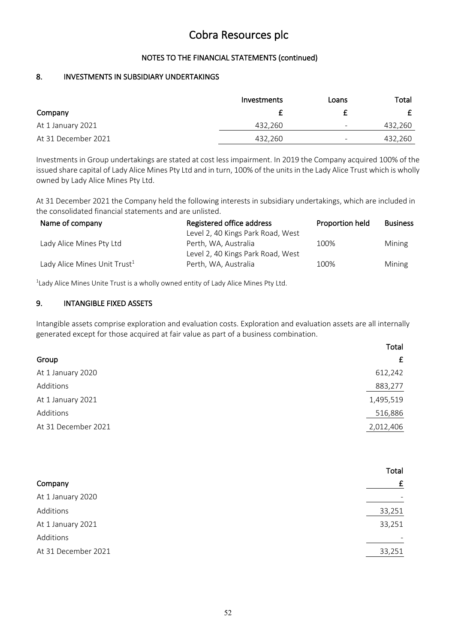### NOTES TO THE FINANCIAL STATEMENTS (continued)

### 8. INVESTMENTS IN SUBSIDIARY UNDERTAKINGS

|                     | <b>Investments</b> | Loans | Total   |
|---------------------|--------------------|-------|---------|
| Company             |                    |       |         |
| At 1 January 2021   | 432,260            | -     | 432,260 |
| At 31 December 2021 | 432.260            | -     | 432,260 |

Investments in Group undertakings are stated at cost less impairment. In 2019 the Company acquired 100% of the issued share capital of Lady Alice Mines Pty Ltd and in turn, 100% of the units in the Lady Alice Trust which is wholly owned by Lady Alice Mines Pty Ltd.

At 31 December 2021 the Company held the following interests in subsidiary undertakings, which are included in the consolidated financial statements and are unlisted.

| Name of company                          | Registered office address<br>Level 2, 40 Kings Park Road, West | Proportion held | <b>Business</b> |
|------------------------------------------|----------------------------------------------------------------|-----------------|-----------------|
| Lady Alice Mines Pty Ltd                 | Perth, WA, Australia                                           | 100%            | Mining          |
|                                          | Level 2, 40 Kings Park Road, West                              |                 |                 |
| Lady Alice Mines Unit Trust <sup>1</sup> | Perth, WA, Australia                                           | 100%            | Mining          |

<sup>1</sup> Lady Alice Mines Unite Trust is a wholly owned entity of Lady Alice Mines Pty Ltd.

### 9. INTANGIBLE FIXED ASSETS

Intangible assets comprise exploration and evaluation costs. Exploration and evaluation assets are all internally generated except for those acquired at fair value as part of a business combination.

|                     | Total     |
|---------------------|-----------|
| Group               | £         |
| At 1 January 2020   | 612,242   |
| Additions           | 883,277   |
| At 1 January 2021   | 1,495,519 |
| Additions           | 516,886   |
| At 31 December 2021 | 2,012,406 |

|                     | Total  |
|---------------------|--------|
| Company             | £      |
| At 1 January 2020   |        |
| Additions           | 33,251 |
| At 1 January 2021   | 33,251 |
| Additions           |        |
| At 31 December 2021 | 33,251 |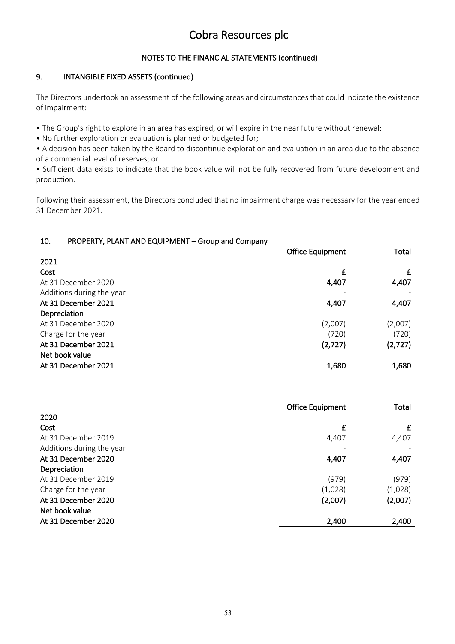## NOTES TO THE FINANCIAL STATEMENTS (continued)

## 9. INTANGIBLE FIXED ASSETS (continued)

The Directors undertook an assessment of the following areas and circumstances that could indicate the existence of impairment:

- The Group's right to explore in an area has expired, or will expire in the near future without renewal;
- No further exploration or evaluation is planned or budgeted for;
- A decision has been taken by the Board to discontinue exploration and evaluation in an area due to the absence of a commercial level of reserves; or

• Sufficient data exists to indicate that the book value will not be fully recovered from future development and production.

Following their assessment, the Directors concluded that no impairment charge was necessary for the year ended 31 December 2021.

## 10. PROPERTY, PLANT AND EQUIPMENT – Group and Company

|                           | <b>Office Equipment</b> | Total   |
|---------------------------|-------------------------|---------|
| 2021                      |                         |         |
| Cost                      | £                       | £       |
| At 31 December 2020       | 4,407                   | 4,407   |
| Additions during the year |                         |         |
| At 31 December 2021       | 4,407                   | 4,407   |
| Depreciation              |                         |         |
| At 31 December 2020       | (2,007)                 | (2,007) |
| Charge for the year       | (720)                   | (720)   |
| At 31 December 2021       | (2,727)                 | (2,727) |
| Net book value            |                         |         |
| At 31 December 2021       | 1,680                   | 1,680   |

|                           | <b>Office Equipment</b> | Total   |
|---------------------------|-------------------------|---------|
| 2020                      |                         |         |
| Cost                      | £                       | £       |
| At 31 December 2019       | 4,407                   | 4,407   |
| Additions during the year |                         |         |
| At 31 December 2020       | 4,407                   | 4,407   |
| Depreciation              |                         |         |
| At 31 December 2019       | (979)                   | (979)   |
| Charge for the year       | (1,028)                 | (1,028) |
| At 31 December 2020       | (2,007)                 | (2,007) |
| Net book value            |                         |         |
| At 31 December 2020       | 2,400                   | 2,400   |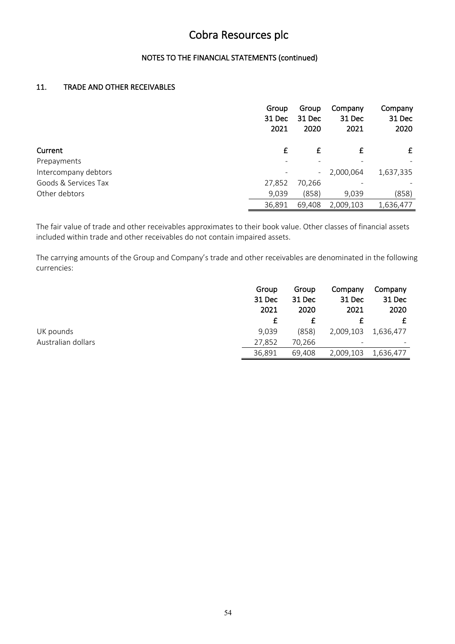### NOTES TO THE FINANCIAL STATEMENTS (continued)

### 11. TRADE AND OTHER RECEIVABLES

|                      | Group<br>31 Dec<br>2021 | Group<br>31 Dec<br>2020 | Company<br>31 Dec<br>2021 | Company<br>31 Dec<br>2020 |
|----------------------|-------------------------|-------------------------|---------------------------|---------------------------|
| Current              | £                       | £                       | £                         | £                         |
| Prepayments          |                         |                         |                           |                           |
| Intercompany debtors |                         | $\sim$                  | 2,000,064                 | 1,637,335                 |
| Goods & Services Tax | 27,852                  | 70,266                  |                           |                           |
| Other debtors        | 9,039                   | (858)                   | 9,039                     | (858)                     |
|                      | 36,891                  | 69.408                  | 2,009,103                 | 1,636,477                 |

The fair value of trade and other receivables approximates to their book value. Other classes of financial assets included within trade and other receivables do not contain impaired assets.

The carrying amounts of the Group and Company's trade and other receivables are denominated in the following currencies:

|                    | Group<br>31 Dec<br>2021 | Group<br>31 Dec<br>2020 | Company<br>31 Dec<br>2021 | Company<br>31 Dec<br>2020 |
|--------------------|-------------------------|-------------------------|---------------------------|---------------------------|
|                    |                         |                         |                           |                           |
| UK pounds          | 9,039                   | (858)                   | 2,009,103                 | 1,636,477                 |
| Australian dollars | 27.852                  | 70.266                  | -                         | -                         |
|                    | 36,891                  | 69.408                  | 2,009,103                 | 1,636,477                 |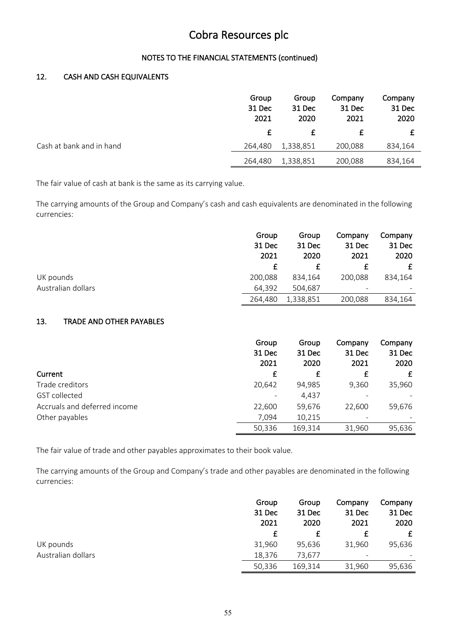### NOTES TO THE FINANCIAL STATEMENTS (continued)

### 12. CASH AND CASH EQUIVALENTS

|                          | Group<br>31 Dec<br>2021 | Group<br>31 Dec<br>2020 | Company<br>31 Dec<br>2021 | Company<br>31 Dec<br>2020 |
|--------------------------|-------------------------|-------------------------|---------------------------|---------------------------|
|                          | £                       | £                       |                           |                           |
| Cash at bank and in hand | 264,480                 | 1,338,851               | 200,088                   | 834,164                   |
|                          | 264.480                 | 1,338,851               | 200,088                   | 834.164                   |

The fair value of cash at bank is the same as its carrying value.

The carrying amounts of the Group and Company's cash and cash equivalents are denominated in the following currencies:

|                    | Group   | Group     | Company                  | Company |
|--------------------|---------|-----------|--------------------------|---------|
|                    | 31 Dec  | 31 Dec    | 31 Dec                   | 31 Dec  |
|                    | 2021    | 2020      | 2021                     | 2020    |
|                    |         |           |                          |         |
| UK pounds          | 200,088 | 834.164   | 200.088                  | 834.164 |
| Australian dollars | 64.392  | 504,687   | $\overline{\phantom{0}}$ |         |
|                    | 264,480 | 1,338,851 | 200,088                  | 834,164 |

### 13. TRADE AND OTHER PAYABLES

|                              | Group<br>31 Dec<br>2021 | Group<br>31 Dec<br>2020 | Company<br>31 Dec<br>2021 | Company<br>31 Dec<br>2020 |
|------------------------------|-------------------------|-------------------------|---------------------------|---------------------------|
| Current                      | £                       | £                       | £                         | £                         |
| Trade creditors              | 20.642                  | 94,985                  | 9,360                     | 35,960                    |
| <b>GST</b> collected         |                         | 4,437                   |                           |                           |
| Accruals and deferred income | 22,600                  | 59,676                  | 22.600                    | 59,676                    |
| Other payables               | 7.094                   | 10,215                  |                           |                           |
|                              | 50,336                  | 169.314                 | 31,960                    | 95,636                    |

The fair value of trade and other payables approximates to their book value.

The carrying amounts of the Group and Company's trade and other payables are denominated in the following currencies:

|                    | Group<br>31 Dec<br>2021 | Group<br>31 Dec<br>2020 | Company<br>31 Dec<br>2021 | Company<br>31 Dec<br>2020 |
|--------------------|-------------------------|-------------------------|---------------------------|---------------------------|
|                    |                         |                         |                           |                           |
| UK pounds          | 31.960                  | 95.636                  | 31.960                    | 95,636                    |
| Australian dollars | 18.376                  | 73,677                  | -                         |                           |
|                    | 50,336                  | 169,314                 | 31,960                    | 95,636                    |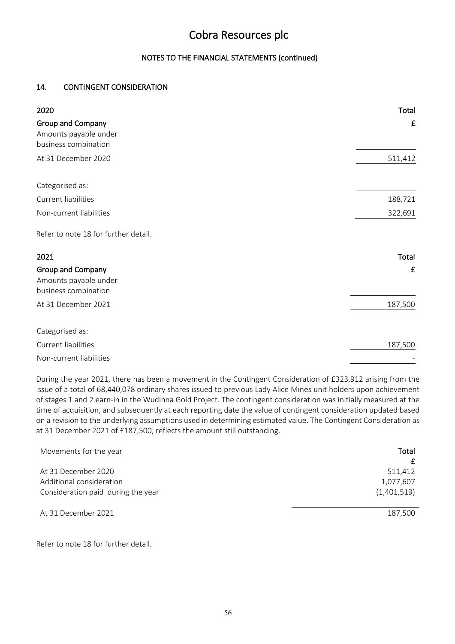## NOTES TO THE FINANCIAL STATEMENTS (continued)

### 14. CONTINGENT CONSIDERATION

| 2020                                                                      | Total              |
|---------------------------------------------------------------------------|--------------------|
| <b>Group and Company</b><br>Amounts payable under<br>business combination | $\pmb{\mathsf{E}}$ |
| At 31 December 2020                                                       | 511,412            |
| Categorised as:                                                           |                    |
| Current liabilities                                                       | 188,721            |
| Non-current liabilities                                                   | 322,691            |
| Refer to note 18 for further detail.                                      |                    |
| 2021                                                                      | Total              |
| <b>Group and Company</b><br>Amounts payable under<br>business combination | $\mathbf{f}$       |
| At 31 December 2021                                                       | 187,500            |
| Categorised as:                                                           |                    |
| <b>Current liabilities</b>                                                | 187,500            |
| Non-current liabilities                                                   |                    |

During the year 2021, there has been a movement in the Contingent Consideration of £323,912 arising from the issue of a total of 68,440,078 ordinary shares issued to previous Lady Alice Mines unit holders upon achievement of stages 1 and 2 earn-in in the Wudinna Gold Project. The contingent consideration was initially measured at the time of acquisition, and subsequently at each reporting date the value of contingent consideration updated based on a revision to the underlying assumptions used in determining estimated value. The Contingent Consideration as at 31 December 2021 of £187,500, reflects the amount still outstanding.

| Movements for the year             | Total       |
|------------------------------------|-------------|
|                                    |             |
| At 31 December 2020                | 511,412     |
| Additional consideration           | 1,077,607   |
| Consideration paid during the year | (1,401,519) |
| At 31 December 2021                | 187,500     |
|                                    |             |

Refer to note 18 for further detail.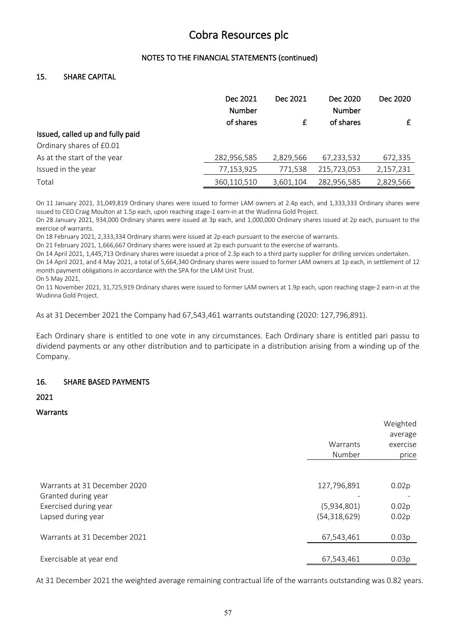### NOTES TO THE FINANCIAL STATEMENTS (continued)

### 15. SHARE CAPITAL

|                                  | Dec 2021<br><b>Number</b> | Dec 2021  | Dec 2020<br><b>Number</b> | Dec 2020  |
|----------------------------------|---------------------------|-----------|---------------------------|-----------|
|                                  | of shares                 |           | of shares                 |           |
| Issued, called up and fully paid |                           |           |                           |           |
| Ordinary shares of £0.01         |                           |           |                           |           |
| As at the start of the year      | 282,956,585               | 2,829,566 | 67,233,532                | 672,335   |
| Issued in the year               | 77,153,925                | 771,538   | 215,723,053               | 2,157,231 |
| Total                            | 360,110,510               | 3,601,104 | 282,956,585               | 2,829,566 |

On 11 January 2021, 31,049,819 Ordinary shares were issued to former LAM owners at 2.4p each, and 1,333,333 Ordinary shares were issued to CEO Craig Moulton at 1.5p each, upon reaching stage-1 earn-in at the Wudinna Gold Project.

On 28 January 2021, 934,000 Ordinary shares were issued at 3p each, and 1,000,000 Ordinary shares issued at 2p each, pursuant to the exercise of warrants.

On 18 February 2021, 2,333,334 Ordinary shares were issued at 2p each pursuant to the exercise of warrants.

On 21 February 2021, 1,666,667 Ordinary shares were issued at 2p each pursuant to the exercise of warrants.

On 14 April 2021, 1,445,713 Ordinary shares were issuedat a price of 2.3p each to a third party supplier for drilling services undertaken. On 14 April 2021, and 4 May 2021, a total of 5,664,340 Ordinary shares were issued to former LAM owners at 1p each, in settlement of 12 month payment obligations in accordance with the SPA for the LAM Unit Trust. On 5 May 2021,

On 11 November 2021, 31,725,919 Ordinary shares were issued to former LAM owners at 1.9p each, upon reaching stage-2 earn-in at the Wudinna Gold Project.

As at 31 December 2021 the Company had 67,543,461 warrants outstanding (2020: 127,796,891).

Each Ordinary share is entitled to one vote in any circumstances. Each Ordinary share is entitled pari passu to dividend payments or any other distribution and to participate in a distribution arising from a winding up of the Company.

### 16. SHARE BASED PAYMENTS

#### 2021

#### Warrants

|                              |                | Weighted |
|------------------------------|----------------|----------|
|                              |                | average  |
|                              | Warrants       | exercise |
|                              | Number         | price    |
|                              |                |          |
| Warrants at 31 December 2020 | 127,796,891    | 0.02p    |
| Granted during year          |                |          |
| Exercised during year        | (5,934,801)    | 0.02p    |
| Lapsed during year           | (54, 318, 629) | 0.02p    |
| Warrants at 31 December 2021 | 67,543,461     | 0.03p    |
|                              |                |          |
| Exercisable at year end      | 67,543,461     | 0.03p    |

At 31 December 2021 the weighted average remaining contractual life of the warrants outstanding was 0.82 years.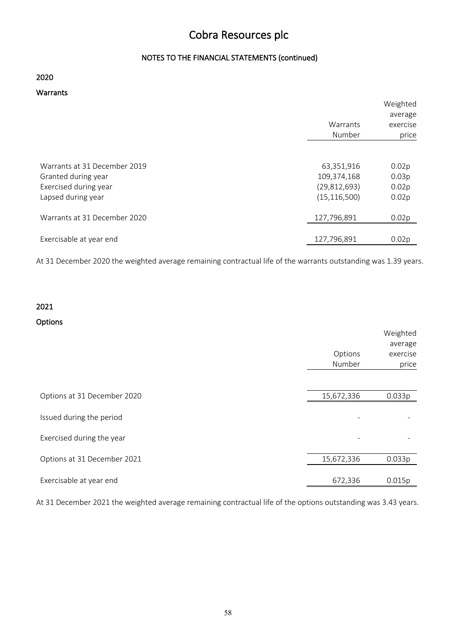## NOTES TO THE FINANCIAL STATEMENTS (continued)

#### 2020

#### Warrants

|                              |                | Weighted            |
|------------------------------|----------------|---------------------|
|                              | Warrants       | average<br>exercise |
|                              | Number         | price               |
|                              |                |                     |
| Warrants at 31 December 2019 | 63,351,916     | 0.02p               |
| Granted during year          | 109,374,168    | 0.03p               |
| Exercised during year        | (29, 812, 693) | 0.02p               |
| Lapsed during year           | (15, 116, 500) | 0.02p               |
| Warrants at 31 December 2020 | 127,796,891    | 0.02p               |
|                              |                |                     |
| Exercisable at year end      | 127,796,891    | 0.02p               |

At 31 December 2020 the weighted average remaining contractual life of the warrants outstanding was 1.39 years.

### 2021

Options

|                             |                   | Weighted<br>average |
|-----------------------------|-------------------|---------------------|
|                             | Options<br>Number | exercise<br>price   |
| Options at 31 December 2020 | 15,672,336        | 0.033p              |
| Issued during the period    |                   |                     |
| Exercised during the year   |                   |                     |
| Options at 31 December 2021 | 15,672,336        | 0.033p              |
| Exercisable at year end     | 672,336           | 0.015p              |

At 31 December 2021 the weighted average remaining contractual life of the options outstanding was 3.43 years.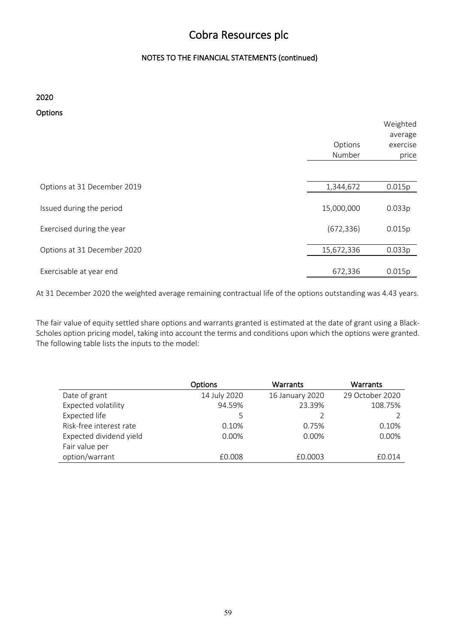# NOTES TO THE FINANCIAL STATEMENTS (continued)

2020

**Options** 

|                             |                   | Weighted                     |
|-----------------------------|-------------------|------------------------------|
|                             | Options<br>Number | average<br>exercise<br>price |
|                             |                   |                              |
| Options at 31 December 2019 | 1,344,672         | 0.015p                       |
| Issued during the period    | 15,000,000        | 0.033p                       |
| Exercised during the year   | (672, 336)        | 0.015p                       |
| Options at 31 December 2020 | 15,672,336        | 0.033p                       |
| Exercisable at year end     | 672,336           | 0.015p                       |

At 31 December 2020 the weighted average remaining contractual life of the options outstanding was 4.43 years.

The fair value of equity settled share options and warrants granted is estimated at the date of grant using a Black-Scholes option pricing model, taking into account the terms and conditions upon which the options were granted. The following table lists the inputs to the model:

|                         | <b>Options</b> | <b>Warrants</b> | <b>Warrants</b> |
|-------------------------|----------------|-----------------|-----------------|
| Date of grant           | 14 July 2020   | 16 January 2020 | 29 October 2020 |
| Expected volatility     | 94.59%         | 23.39%          | 108.75%         |
| Expected life           | 5              |                 |                 |
| Risk-free interest rate | 0.10%          | 0.75%           | 0.10%           |
| Expected dividend yield | $0.00\%$       | $0.00\%$        | 0.00%           |
| Fair value per          |                |                 |                 |
| option/warrant          | £0.008         | £0.0003         | £0.014          |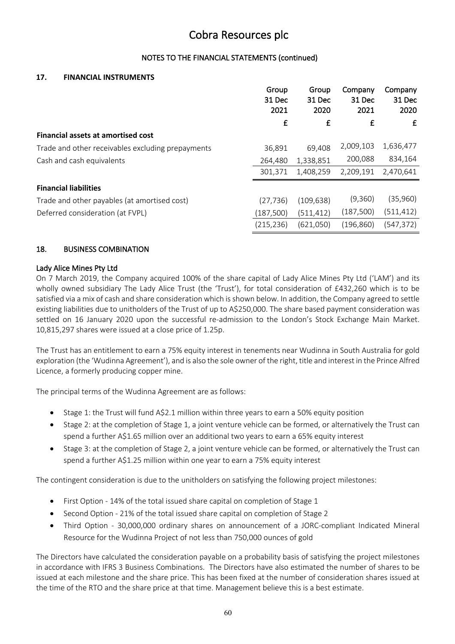## NOTES TO THE FINANCIAL STATEMENTS (continued)

### **17. FINANCIAL INSTRUMENTS**

|                                                   | Group<br>31 Dec<br>2021 | Group<br>31 Dec<br>2020 | Company<br>31 Dec<br>2021 | Company<br>31 Dec<br>2020 |
|---------------------------------------------------|-------------------------|-------------------------|---------------------------|---------------------------|
|                                                   | £                       | £                       | £                         | £                         |
| <b>Financial assets at amortised cost</b>         |                         |                         |                           |                           |
| Trade and other receivables excluding prepayments | 36,891                  | 69,408                  | 2,009,103                 | 1,636,477                 |
| Cash and cash equivalents                         | 264,480                 | 1,338,851               | 200,088                   | 834,164                   |
|                                                   | 301,371                 | 1,408,259               | 2,209,191                 | 2.470.641                 |
| <b>Financial liabilities</b>                      |                         |                         |                           |                           |
| Trade and other payables (at amortised cost)      | (27, 736)               | (109, 638)              | (9,360)                   | (35,960)                  |
| Deferred consideration (at FVPL)                  | (187,500)               | (511, 412)              | (187,500)                 | (511, 412)                |
|                                                   | (215, 236)              | (621,050)               | (196, 860)                | (547, 372)                |

### 18. BUSINESS COMBINATION

### Lady Alice Mines Pty Ltd

On 7 March 2019, the Company acquired 100% of the share capital of Lady Alice Mines Pty Ltd ('LAM') and its wholly owned subsidiary The Lady Alice Trust (the 'Trust'), for total consideration of £432,260 which is to be satisfied via a mix of cash and share consideration which is shown below. In addition, the Company agreed to settle existing liabilities due to unitholders of the Trust of up to A\$250,000. The share based payment consideration was settled on 16 January 2020 upon the successful re-admission to the London's Stock Exchange Main Market. 10,815,297 shares were issued at a close price of 1.25p.

The Trust has an entitlement to earn a 75% equity interest in tenements near Wudinna in South Australia for gold exploration (the 'Wudinna Agreement'), and is also the sole owner of the right, title and interest in the Prince Alfred Licence, a formerly producing copper mine.

The principal terms of the Wudinna Agreement are as follows:

- Stage 1: the Trust will fund A\$2.1 million within three years to earn a 50% equity position
- Stage 2: at the completion of Stage 1, a joint venture vehicle can be formed, or alternatively the Trust can spend a further A\$1.65 million over an additional two years to earn a 65% equity interest
- Stage 3: at the completion of Stage 2, a joint venture vehicle can be formed, or alternatively the Trust can spend a further A\$1.25 million within one year to earn a 75% equity interest

The contingent consideration is due to the unitholders on satisfying the following project milestones:

- First Option 14% of the total issued share capital on completion of Stage 1
- Second Option 21% of the total issued share capital on completion of Stage 2
- Third Option 30,000,000 ordinary shares on announcement of a JORC-compliant Indicated Mineral Resource for the Wudinna Project of not less than 750,000 ounces of gold

The Directors have calculated the consideration payable on a probability basis of satisfying the project milestones in accordance with IFRS 3 Business Combinations. The Directors have also estimated the number of shares to be issued at each milestone and the share price. This has been fixed at the number of consideration shares issued at the time of the RTO and the share price at that time. Management believe this is a best estimate.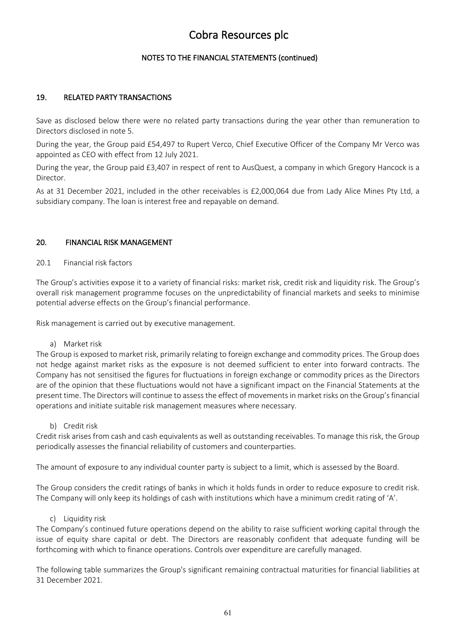### NOTES TO THE FINANCIAL STATEMENTS (continued)

### 19. RELATED PARTY TRANSACTIONS

Save as disclosed below there were no related party transactions during the year other than remuneration to Directors disclosed in note 5.

During the year, the Group paid £54,497 to Rupert Verco, Chief Executive Officer of the Company Mr Verco was appointed as CEO with effect from 12 July 2021.

During the year, the Group paid £3,407 in respect of rent to AusQuest, a company in which Gregory Hancock is a Director.

As at 31 December 2021, included in the other receivables is £2,000,064 due from Lady Alice Mines Pty Ltd, a subsidiary company. The loan is interest free and repayable on demand.

### 20. FINANCIAL RISK MANAGEMENT

#### 20.1 Financial risk factors

The Group's activities expose it to a variety of financial risks: market risk, credit risk and liquidity risk. The Group's overall risk management programme focuses on the unpredictability of financial markets and seeks to minimise potential adverse effects on the Group's financial performance.

Risk management is carried out by executive management.

#### a) Market risk

The Group is exposed to market risk, primarily relating to foreign exchange and commodity prices. The Group does not hedge against market risks as the exposure is not deemed sufficient to enter into forward contracts. The Company has not sensitised the figures for fluctuations in foreign exchange or commodity prices as the Directors are of the opinion that these fluctuations would not have a significant impact on the Financial Statements at the present time. The Directors will continue to assess the effect of movements in market risks on the Group's financial operations and initiate suitable risk management measures where necessary.

#### b) Credit risk

Credit risk arises from cash and cash equivalents as well as outstanding receivables. To manage this risk, the Group periodically assesses the financial reliability of customers and counterparties.

The amount of exposure to any individual counter party is subject to a limit, which is assessed by the Board.

The Group considers the credit ratings of banks in which it holds funds in order to reduce exposure to credit risk. The Company will only keep its holdings of cash with institutions which have a minimum credit rating of 'A'.

#### c) Liquidity risk

The Company's continued future operations depend on the ability to raise sufficient working capital through the issue of equity share capital or debt. The Directors are reasonably confident that adequate funding will be forthcoming with which to finance operations. Controls over expenditure are carefully managed.

The following table summarizes the Group's significant remaining contractual maturities for financial liabilities at 31 December 2021.